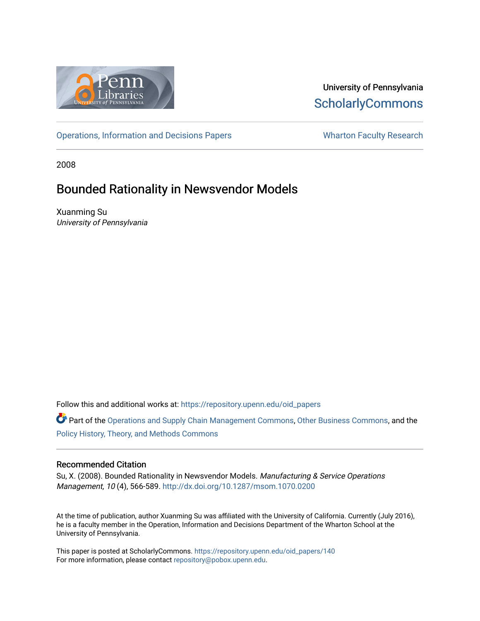

University of Pennsylvania **ScholarlyCommons** 

[Operations, Information and Decisions Papers](https://repository.upenn.edu/oid_papers) Wharton Faculty Research

2008

## Bounded Rationality in Newsvendor Models

Xuanming Su University of Pennsylvania

Follow this and additional works at: [https://repository.upenn.edu/oid\\_papers](https://repository.upenn.edu/oid_papers?utm_source=repository.upenn.edu%2Foid_papers%2F140&utm_medium=PDF&utm_campaign=PDFCoverPages)

Part of the [Operations and Supply Chain Management Commons,](http://network.bepress.com/hgg/discipline/1229?utm_source=repository.upenn.edu%2Foid_papers%2F140&utm_medium=PDF&utm_campaign=PDFCoverPages) [Other Business Commons](http://network.bepress.com/hgg/discipline/647?utm_source=repository.upenn.edu%2Foid_papers%2F140&utm_medium=PDF&utm_campaign=PDFCoverPages), and the [Policy History, Theory, and Methods Commons](http://network.bepress.com/hgg/discipline/1036?utm_source=repository.upenn.edu%2Foid_papers%2F140&utm_medium=PDF&utm_campaign=PDFCoverPages) 

#### Recommended Citation

Su, X. (2008). Bounded Rationality in Newsvendor Models. Manufacturing & Service Operations Management, 10 (4), 566-589. <http://dx.doi.org/10.1287/msom.1070.0200>

At the time of publication, author Xuanming Su was affiliated with the University of California. Currently (July 2016), he is a faculty member in the Operation, Information and Decisions Department of the Wharton School at the University of Pennsylvania.

This paper is posted at ScholarlyCommons. [https://repository.upenn.edu/oid\\_papers/140](https://repository.upenn.edu/oid_papers/140)  For more information, please contact [repository@pobox.upenn.edu.](mailto:repository@pobox.upenn.edu)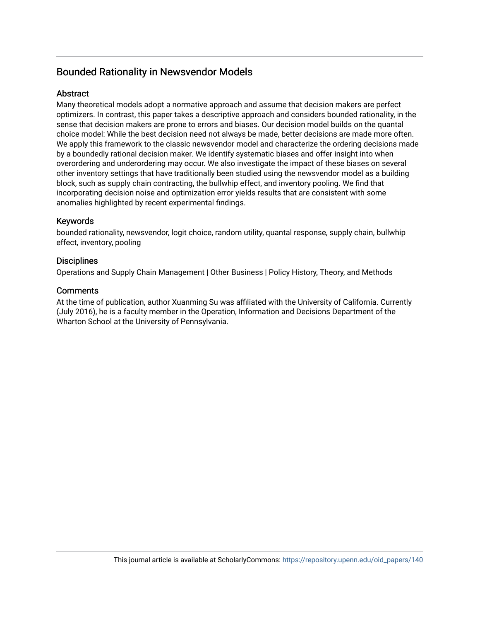## Bounded Rationality in Newsvendor Models

#### **Abstract**

Many theoretical models adopt a normative approach and assume that decision makers are perfect optimizers. In contrast, this paper takes a descriptive approach and considers bounded rationality, in the sense that decision makers are prone to errors and biases. Our decision model builds on the quantal choice model: While the best decision need not always be made, better decisions are made more often. We apply this framework to the classic newsvendor model and characterize the ordering decisions made by a boundedly rational decision maker. We identify systematic biases and offer insight into when overordering and underordering may occur. We also investigate the impact of these biases on several other inventory settings that have traditionally been studied using the newsvendor model as a building block, such as supply chain contracting, the bullwhip effect, and inventory pooling. We find that incorporating decision noise and optimization error yields results that are consistent with some anomalies highlighted by recent experimental findings.

#### Keywords

bounded rationality, newsvendor, logit choice, random utility, quantal response, supply chain, bullwhip effect, inventory, pooling

#### **Disciplines**

Operations and Supply Chain Management | Other Business | Policy History, Theory, and Methods

#### **Comments**

At the time of publication, author Xuanming Su was affiliated with the University of California. Currently (July 2016), he is a faculty member in the Operation, Information and Decisions Department of the Wharton School at the University of Pennsylvania.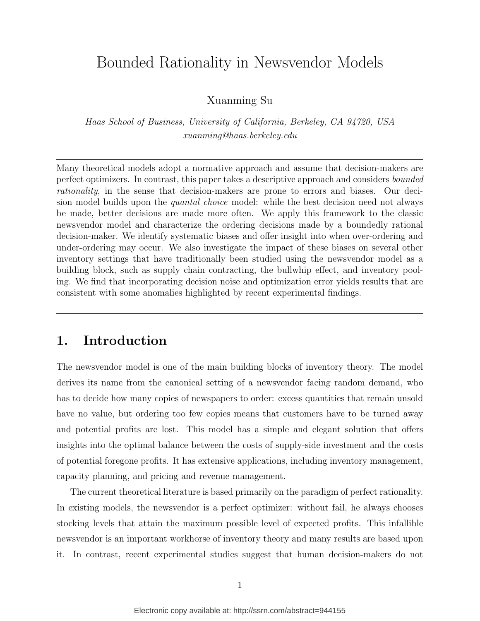# Bounded Rationality in Newsvendor Models

### Xuanming Su

Haas School of Business, University of California, Berkeley, CA 94720, USA xuanming@haas.berkeley.edu

Many theoretical models adopt a normative approach and assume that decision-makers are perfect optimizers. In contrast, this paper takes a descriptive approach and considers bounded rationality, in the sense that decision-makers are prone to errors and biases. Our decision model builds upon the *quantal choice* model: while the best decision need not always be made, better decisions are made more often. We apply this framework to the classic newsvendor model and characterize the ordering decisions made by a boundedly rational decision-maker. We identify systematic biases and offer insight into when over-ordering and under-ordering may occur. We also investigate the impact of these biases on several other inventory settings that have traditionally been studied using the newsvendor model as a building block, such as supply chain contracting, the bullwhip effect, and inventory pooling. We find that incorporating decision noise and optimization error yields results that are consistent with some anomalies highlighted by recent experimental findings.

## 1. Introduction

The newsvendor model is one of the main building blocks of inventory theory. The model derives its name from the canonical setting of a newsvendor facing random demand, who has to decide how many copies of newspapers to order: excess quantities that remain unsold have no value, but ordering too few copies means that customers have to be turned away and potential profits are lost. This model has a simple and elegant solution that offers insights into the optimal balance between the costs of supply-side investment and the costs of potential foregone profits. It has extensive applications, including inventory management, capacity planning, and pricing and revenue management.

The current theoretical literature is based primarily on the paradigm of perfect rationality. In existing models, the newsvendor is a perfect optimizer: without fail, he always chooses stocking levels that attain the maximum possible level of expected profits. This infallible newsvendor is an important workhorse of inventory theory and many results are based upon it. In contrast, recent experimental studies suggest that human decision-makers do not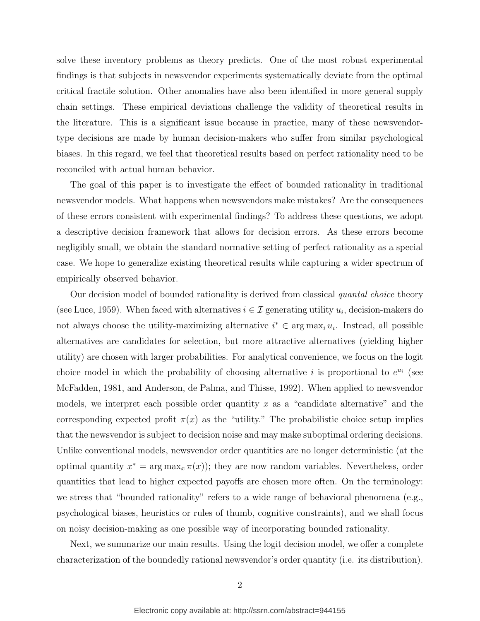solve these inventory problems as theory predicts. One of the most robust experimental findings is that subjects in newsvendor experiments systematically deviate from the optimal critical fractile solution. Other anomalies have also been identified in more general supply chain settings. These empirical deviations challenge the validity of theoretical results in the literature. This is a significant issue because in practice, many of these newsvendortype decisions are made by human decision-makers who suffer from similar psychological biases. In this regard, we feel that theoretical results based on perfect rationality need to be reconciled with actual human behavior.

The goal of this paper is to investigate the effect of bounded rationality in traditional newsvendor models. What happens when newsvendors make mistakes? Are the consequences of these errors consistent with experimental findings? To address these questions, we adopt a descriptive decision framework that allows for decision errors. As these errors become negligibly small, we obtain the standard normative setting of perfect rationality as a special case. We hope to generalize existing theoretical results while capturing a wider spectrum of empirically observed behavior.

Our decision model of bounded rationality is derived from classical *quantal choice* theory (see Luce, 1959). When faced with alternatives  $i \in \mathcal{I}$  generating utility  $u_i$ , decision-makers do not always choose the utility-maximizing alternative  $i^* \in \arg \max_i u_i$ . Instead, all possible alternatives are candidates for selection, but more attractive alternatives (yielding higher utility) are chosen with larger probabilities. For analytical convenience, we focus on the logit choice model in which the probability of choosing alternative i is proportional to  $e^{u_i}$  (see McFadden, 1981, and Anderson, de Palma, and Thisse, 1992). When applied to newsvendor models, we interpret each possible order quantity  $x$  as a "candidate alternative" and the corresponding expected profit  $\pi(x)$  as the "utility." The probabilistic choice setup implies that the newsvendor is subject to decision noise and may make suboptimal ordering decisions. Unlike conventional models, newsvendor order quantities are no longer deterministic (at the optimal quantity  $x^* = \arg \max_x \pi(x)$ ; they are now random variables. Nevertheless, order quantities that lead to higher expected payoffs are chosen more often. On the terminology: we stress that "bounded rationality" refers to a wide range of behavioral phenomena (e.g., psychological biases, heuristics or rules of thumb, cognitive constraints), and we shall focus on noisy decision-making as one possible way of incorporating bounded rationality.

Next, we summarize our main results. Using the logit decision model, we offer a complete characterization of the boundedly rational newsvendor's order quantity (i.e. its distribution).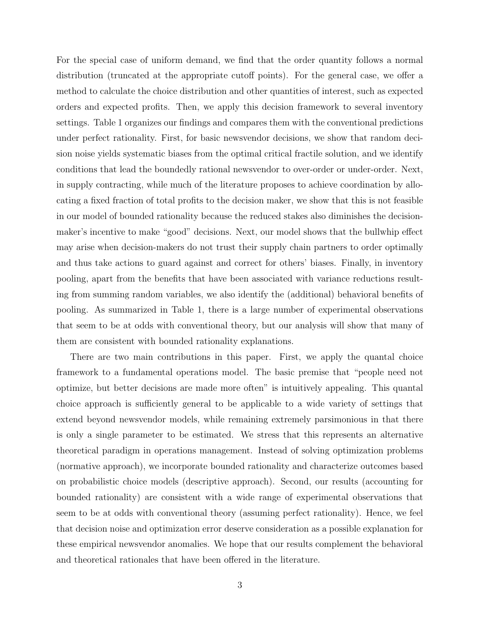For the special case of uniform demand, we find that the order quantity follows a normal distribution (truncated at the appropriate cutoff points). For the general case, we offer a method to calculate the choice distribution and other quantities of interest, such as expected orders and expected profits. Then, we apply this decision framework to several inventory settings. Table 1 organizes our findings and compares them with the conventional predictions under perfect rationality. First, for basic newsvendor decisions, we show that random decision noise yields systematic biases from the optimal critical fractile solution, and we identify conditions that lead the boundedly rational newsvendor to over-order or under-order. Next, in supply contracting, while much of the literature proposes to achieve coordination by allocating a fixed fraction of total profits to the decision maker, we show that this is not feasible in our model of bounded rationality because the reduced stakes also diminishes the decisionmaker's incentive to make "good" decisions. Next, our model shows that the bullwhip effect may arise when decision-makers do not trust their supply chain partners to order optimally and thus take actions to guard against and correct for others' biases. Finally, in inventory pooling, apart from the benefits that have been associated with variance reductions resulting from summing random variables, we also identify the (additional) behavioral benefits of pooling. As summarized in Table 1, there is a large number of experimental observations that seem to be at odds with conventional theory, but our analysis will show that many of them are consistent with bounded rationality explanations.

There are two main contributions in this paper. First, we apply the quantal choice framework to a fundamental operations model. The basic premise that "people need not optimize, but better decisions are made more often" is intuitively appealing. This quantal choice approach is sufficiently general to be applicable to a wide variety of settings that extend beyond newsvendor models, while remaining extremely parsimonious in that there is only a single parameter to be estimated. We stress that this represents an alternative theoretical paradigm in operations management. Instead of solving optimization problems (normative approach), we incorporate bounded rationality and characterize outcomes based on probabilistic choice models (descriptive approach). Second, our results (accounting for bounded rationality) are consistent with a wide range of experimental observations that seem to be at odds with conventional theory (assuming perfect rationality). Hence, we feel that decision noise and optimization error deserve consideration as a possible explanation for these empirical newsvendor anomalies. We hope that our results complement the behavioral and theoretical rationales that have been offered in the literature.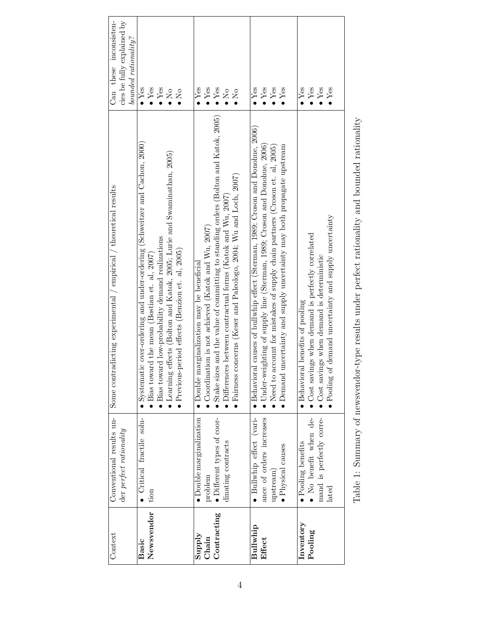| Context     | Conventional results un-<br>$\det\,perfect\,ratio 0\,ability$ | Some contradicting experimental $/$ empirical $/$ theoretical results                  | cies be fully explained by<br>Can these inconsisten- |
|-------------|---------------------------------------------------------------|----------------------------------------------------------------------------------------|------------------------------------------------------|
|             |                                                               |                                                                                        | $bounded\; rationality$ ?                            |
| Basic       | · Critical fractile solu-                                     | over-ordering and under-ordering (Schweitzer and Cachon, 2000)<br>$\bullet$ Systematic | $\bullet$ Yes                                        |
| Newsvendor  | tion                                                          | $\bullet$ Bias toward the mean (Bostian et. al, 2007)                                  | Yes                                                  |
|             |                                                               | · Bias toward low-probability demand realizations                                      | ${\rm Yes}$                                          |
|             |                                                               | • Learning effects (Bolton and Katok, 2005; Lurie and Swaminathan, $2005$ )            | $\rm \stackrel{O}{X}$                                |
|             |                                                               | Previous-period effects (Benzion et. al, 2005)                                         | $\overline{N}_{\overline{O}}$                        |
| Suqque      | $\bullet$ Double marginalization                              | $\bullet$ Double marginalization may be beneficial                                     | $Y$ es                                               |
| Chain       | problem                                                       | • Coordination is not achieved (Katok and Wu, $2007$ )                                 | ${\rm Yes}$                                          |
| Contracting | $\bullet$ Different types of coor-                            | and the value of committing to standing orders (Bolton and Katok, 2005)<br>Stake sizes | ${\rm Yes}$                                          |
|             | dinating contracts                                            | $\bullet$ Differences between contractual forms (Katok and Wu, 2007)                   | $\overline{N}$                                       |
|             |                                                               | $\bullet$ Fairness concerns (Keser and Paleologo, 2004; Wu and Loch, 2007)             | $\tilde{\mathsf{X}}$                                 |
| Bullwhip    | · Bullwhip effect (vari-                                      | causes of bullwhip effect (Sterman, 1989; Croson and Donohue, 2006)<br>· Behavioral    | Yes <sup>'</sup>                                     |
| Effect      | ance of orders increases                                      | • Under-weighting of supply line (Sterman, 1989; Croson and Donohue, $2006$ )          | $_{\rm Yes}$                                         |
|             | upstream)                                                     | Need to account for mistakes of supply chain partners (Croson et. al, 2005)            | ${\rm Yes}$                                          |
|             | · Physical causes                                             | • Demand uncertainty and supply uncertainty may both propagate upstream                | $Y$ es                                               |
| Inventory   | $\bullet$ Pooling benefits                                    | benefits of pooling<br>$\bullet$ Behavioral                                            | $\bullet$ Yes                                        |
| Pooling     | • No benefit when de-                                         | • Cost savings when demand is perfectly correlated                                     | $\mathbf{Y}\mathsf{es}$                              |
|             | mand is perfectly corre-                                      | $\bullet$ Cost savings when demand is deterministic                                    | ${\rm Yes}$                                          |
|             | lated                                                         | demand uncertainty and supply uncertainty<br>Pooling of                                | Yes                                                  |
|             |                                                               |                                                                                        |                                                      |

Table 1: Summary of newsvendor-type results under perfect rationality and bounded rationality Table 1: Summary of newsvendor-type results under perfect rationality and bounded rationality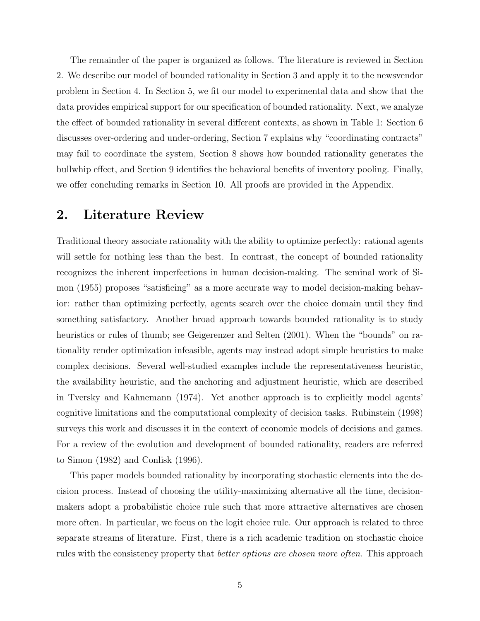The remainder of the paper is organized as follows. The literature is reviewed in Section 2. We describe our model of bounded rationality in Section 3 and apply it to the newsvendor problem in Section 4. In Section 5, we fit our model to experimental data and show that the data provides empirical support for our specification of bounded rationality. Next, we analyze the effect of bounded rationality in several different contexts, as shown in Table 1: Section 6 discusses over-ordering and under-ordering, Section 7 explains why "coordinating contracts" may fail to coordinate the system, Section 8 shows how bounded rationality generates the bullwhip effect, and Section 9 identifies the behavioral benefits of inventory pooling. Finally, we offer concluding remarks in Section 10. All proofs are provided in the Appendix.

### 2. Literature Review

Traditional theory associate rationality with the ability to optimize perfectly: rational agents will settle for nothing less than the best. In contrast, the concept of bounded rationality recognizes the inherent imperfections in human decision-making. The seminal work of Simon (1955) proposes "satisficing" as a more accurate way to model decision-making behavior: rather than optimizing perfectly, agents search over the choice domain until they find something satisfactory. Another broad approach towards bounded rationality is to study heuristics or rules of thumb; see Geigerenzer and Selten (2001). When the "bounds" on rationality render optimization infeasible, agents may instead adopt simple heuristics to make complex decisions. Several well-studied examples include the representativeness heuristic, the availability heuristic, and the anchoring and adjustment heuristic, which are described in Tversky and Kahnemann (1974). Yet another approach is to explicitly model agents' cognitive limitations and the computational complexity of decision tasks. Rubinstein (1998) surveys this work and discusses it in the context of economic models of decisions and games. For a review of the evolution and development of bounded rationality, readers are referred to Simon (1982) and Conlisk (1996).

This paper models bounded rationality by incorporating stochastic elements into the decision process. Instead of choosing the utility-maximizing alternative all the time, decisionmakers adopt a probabilistic choice rule such that more attractive alternatives are chosen more often. In particular, we focus on the logit choice rule. Our approach is related to three separate streams of literature. First, there is a rich academic tradition on stochastic choice rules with the consistency property that better options are chosen more often. This approach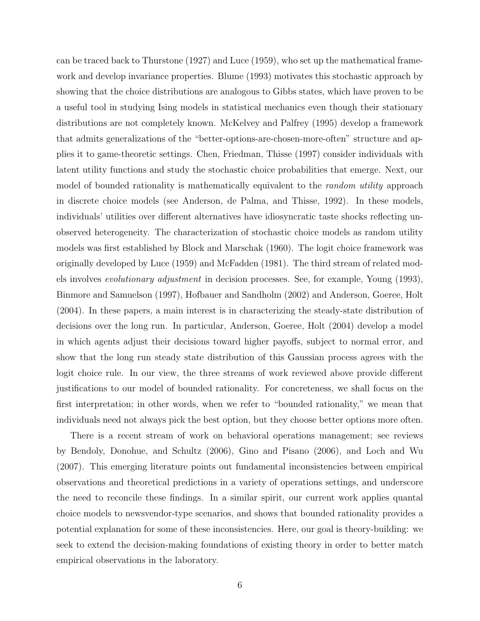can be traced back to Thurstone (1927) and Luce (1959), who set up the mathematical framework and develop invariance properties. Blume (1993) motivates this stochastic approach by showing that the choice distributions are analogous to Gibbs states, which have proven to be a useful tool in studying Ising models in statistical mechanics even though their stationary distributions are not completely known. McKelvey and Palfrey (1995) develop a framework that admits generalizations of the "better-options-are-chosen-more-often" structure and applies it to game-theoretic settings. Chen, Friedman, Thisse (1997) consider individuals with latent utility functions and study the stochastic choice probabilities that emerge. Next, our model of bounded rationality is mathematically equivalent to the *random utility* approach in discrete choice models (see Anderson, de Palma, and Thisse, 1992). In these models, individuals' utilities over different alternatives have idiosyncratic taste shocks reflecting unobserved heterogeneity. The characterization of stochastic choice models as random utility models was first established by Block and Marschak (1960). The logit choice framework was originally developed by Luce (1959) and McFadden (1981). The third stream of related models involves evolutionary adjustment in decision processes. See, for example, Young (1993), Binmore and Samuelson (1997), Hofbauer and Sandholm (2002) and Anderson, Goeree, Holt (2004). In these papers, a main interest is in characterizing the steady-state distribution of decisions over the long run. In particular, Anderson, Goeree, Holt (2004) develop a model in which agents adjust their decisions toward higher payoffs, subject to normal error, and show that the long run steady state distribution of this Gaussian process agrees with the logit choice rule. In our view, the three streams of work reviewed above provide different justifications to our model of bounded rationality. For concreteness, we shall focus on the first interpretation; in other words, when we refer to "bounded rationality," we mean that individuals need not always pick the best option, but they choose better options more often.

There is a recent stream of work on behavioral operations management; see reviews by Bendoly, Donohue, and Schultz (2006), Gino and Pisano (2006), and Loch and Wu (2007). This emerging literature points out fundamental inconsistencies between empirical observations and theoretical predictions in a variety of operations settings, and underscore the need to reconcile these findings. In a similar spirit, our current work applies quantal choice models to newsvendor-type scenarios, and shows that bounded rationality provides a potential explanation for some of these inconsistencies. Here, our goal is theory-building: we seek to extend the decision-making foundations of existing theory in order to better match empirical observations in the laboratory.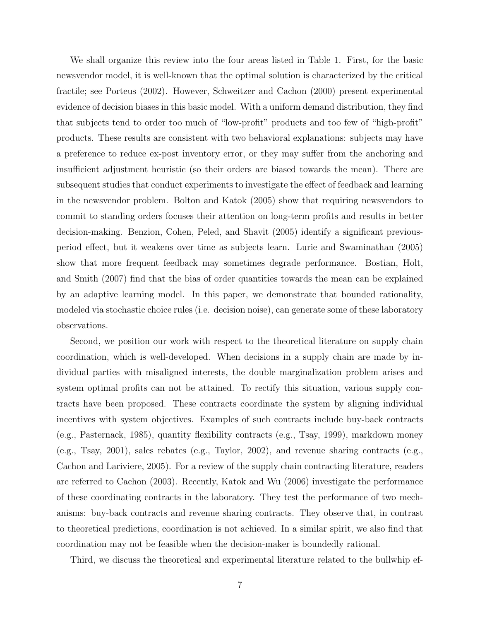We shall organize this review into the four areas listed in Table 1. First, for the basic newsvendor model, it is well-known that the optimal solution is characterized by the critical fractile; see Porteus (2002). However, Schweitzer and Cachon (2000) present experimental evidence of decision biases in this basic model. With a uniform demand distribution, they find that subjects tend to order too much of "low-profit" products and too few of "high-profit" products. These results are consistent with two behavioral explanations: subjects may have a preference to reduce ex-post inventory error, or they may suffer from the anchoring and insufficient adjustment heuristic (so their orders are biased towards the mean). There are subsequent studies that conduct experiments to investigate the effect of feedback and learning in the newsvendor problem. Bolton and Katok (2005) show that requiring newsvendors to commit to standing orders focuses their attention on long-term profits and results in better decision-making. Benzion, Cohen, Peled, and Shavit (2005) identify a significant previousperiod effect, but it weakens over time as subjects learn. Lurie and Swaminathan (2005) show that more frequent feedback may sometimes degrade performance. Bostian, Holt, and Smith (2007) find that the bias of order quantities towards the mean can be explained by an adaptive learning model. In this paper, we demonstrate that bounded rationality, modeled via stochastic choice rules (i.e. decision noise), can generate some of these laboratory observations.

Second, we position our work with respect to the theoretical literature on supply chain coordination, which is well-developed. When decisions in a supply chain are made by individual parties with misaligned interests, the double marginalization problem arises and system optimal profits can not be attained. To rectify this situation, various supply contracts have been proposed. These contracts coordinate the system by aligning individual incentives with system objectives. Examples of such contracts include buy-back contracts (e.g., Pasternack, 1985), quantity flexibility contracts (e.g., Tsay, 1999), markdown money (e.g., Tsay, 2001), sales rebates (e.g., Taylor, 2002), and revenue sharing contracts (e.g., Cachon and Lariviere, 2005). For a review of the supply chain contracting literature, readers are referred to Cachon (2003). Recently, Katok and Wu (2006) investigate the performance of these coordinating contracts in the laboratory. They test the performance of two mechanisms: buy-back contracts and revenue sharing contracts. They observe that, in contrast to theoretical predictions, coordination is not achieved. In a similar spirit, we also find that coordination may not be feasible when the decision-maker is boundedly rational.

Third, we discuss the theoretical and experimental literature related to the bullwhip ef-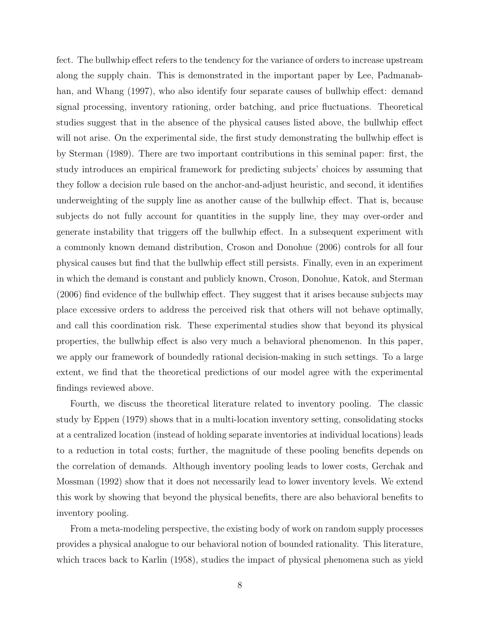fect. The bullwhip effect refers to the tendency for the variance of orders to increase upstream along the supply chain. This is demonstrated in the important paper by Lee, Padmanabhan, and Whang (1997), who also identify four separate causes of bullwhip effect: demand signal processing, inventory rationing, order batching, and price fluctuations. Theoretical studies suggest that in the absence of the physical causes listed above, the bullwhip effect will not arise. On the experimental side, the first study demonstrating the bullwhip effect is by Sterman (1989). There are two important contributions in this seminal paper: first, the study introduces an empirical framework for predicting subjects' choices by assuming that they follow a decision rule based on the anchor-and-adjust heuristic, and second, it identifies underweighting of the supply line as another cause of the bullwhip effect. That is, because subjects do not fully account for quantities in the supply line, they may over-order and generate instability that triggers off the bullwhip effect. In a subsequent experiment with a commonly known demand distribution, Croson and Donohue (2006) controls for all four physical causes but find that the bullwhip effect still persists. Finally, even in an experiment in which the demand is constant and publicly known, Croson, Donohue, Katok, and Sterman (2006) find evidence of the bullwhip effect. They suggest that it arises because subjects may place excessive orders to address the perceived risk that others will not behave optimally, and call this coordination risk. These experimental studies show that beyond its physical properties, the bullwhip effect is also very much a behavioral phenomenon. In this paper, we apply our framework of boundedly rational decision-making in such settings. To a large extent, we find that the theoretical predictions of our model agree with the experimental findings reviewed above.

Fourth, we discuss the theoretical literature related to inventory pooling. The classic study by Eppen (1979) shows that in a multi-location inventory setting, consolidating stocks at a centralized location (instead of holding separate inventories at individual locations) leads to a reduction in total costs; further, the magnitude of these pooling benefits depends on the correlation of demands. Although inventory pooling leads to lower costs, Gerchak and Mossman (1992) show that it does not necessarily lead to lower inventory levels. We extend this work by showing that beyond the physical benefits, there are also behavioral benefits to inventory pooling.

From a meta-modeling perspective, the existing body of work on random supply processes provides a physical analogue to our behavioral notion of bounded rationality. This literature, which traces back to Karlin (1958), studies the impact of physical phenomena such as yield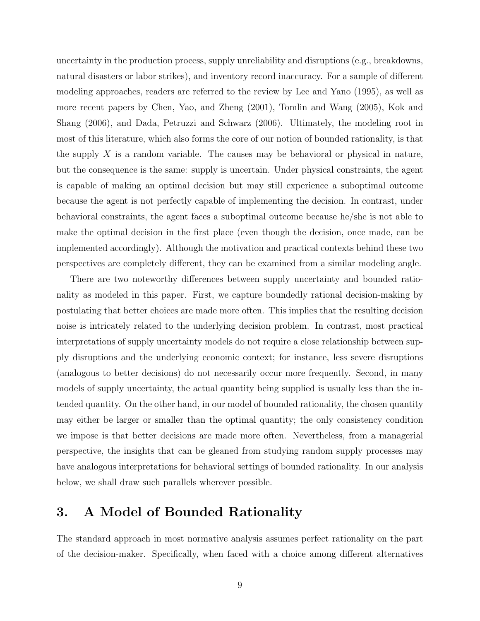uncertainty in the production process, supply unreliability and disruptions (e.g., breakdowns, natural disasters or labor strikes), and inventory record inaccuracy. For a sample of different modeling approaches, readers are referred to the review by Lee and Yano (1995), as well as more recent papers by Chen, Yao, and Zheng (2001), Tomlin and Wang (2005), Kok and Shang (2006), and Dada, Petruzzi and Schwarz (2006). Ultimately, the modeling root in most of this literature, which also forms the core of our notion of bounded rationality, is that the supply  $X$  is a random variable. The causes may be behavioral or physical in nature, but the consequence is the same: supply is uncertain. Under physical constraints, the agent is capable of making an optimal decision but may still experience a suboptimal outcome because the agent is not perfectly capable of implementing the decision. In contrast, under behavioral constraints, the agent faces a suboptimal outcome because he/she is not able to make the optimal decision in the first place (even though the decision, once made, can be implemented accordingly). Although the motivation and practical contexts behind these two perspectives are completely different, they can be examined from a similar modeling angle.

There are two noteworthy differences between supply uncertainty and bounded rationality as modeled in this paper. First, we capture boundedly rational decision-making by postulating that better choices are made more often. This implies that the resulting decision noise is intricately related to the underlying decision problem. In contrast, most practical interpretations of supply uncertainty models do not require a close relationship between supply disruptions and the underlying economic context; for instance, less severe disruptions (analogous to better decisions) do not necessarily occur more frequently. Second, in many models of supply uncertainty, the actual quantity being supplied is usually less than the intended quantity. On the other hand, in our model of bounded rationality, the chosen quantity may either be larger or smaller than the optimal quantity; the only consistency condition we impose is that better decisions are made more often. Nevertheless, from a managerial perspective, the insights that can be gleaned from studying random supply processes may have analogous interpretations for behavioral settings of bounded rationality. In our analysis below, we shall draw such parallels wherever possible.

### 3. A Model of Bounded Rationality

The standard approach in most normative analysis assumes perfect rationality on the part of the decision-maker. Specifically, when faced with a choice among different alternatives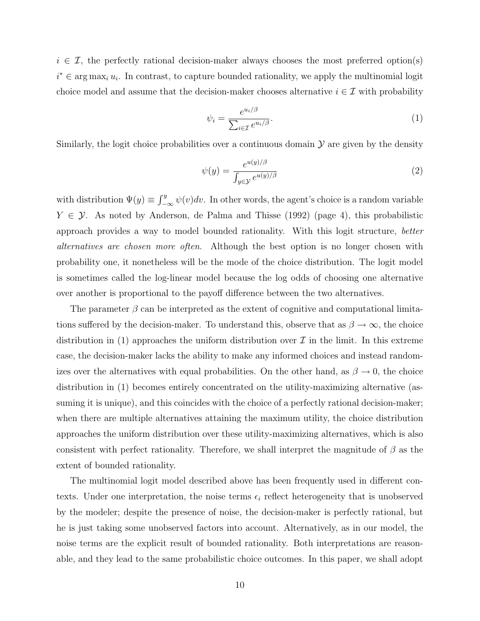$i \in \mathcal{I}$ , the perfectly rational decision-maker always chooses the most preferred option(s)  $i^* \in \arg \max_i u_i$ . In contrast, to capture bounded rationality, we apply the multinomial logit choice model and assume that the decision-maker chooses alternative  $i \in \mathcal{I}$  with probability

$$
\psi_i = \frac{e^{u_i/\beta}}{\sum_{i \in \mathcal{I}} e^{u_i/\beta}}.\tag{1}
$$

Similarly, the logit choice probabilities over a continuous domain  $\mathcal Y$  are given by the density

$$
\psi(y) = \frac{e^{u(y)/\beta}}{\int_{y \in \mathcal{Y}} e^{u(y)/\beta}}\tag{2}
$$

with distribution  $\Psi(y) \equiv \int_{-}^{y}$  $\int_{-\infty}^{y} \psi(v) dv$ . In other words, the agent's choice is a random variable  $Y \in \mathcal{Y}$ . As noted by Anderson, de Palma and Thisse (1992) (page 4), this probabilistic approach provides a way to model bounded rationality. With this logit structure, better alternatives are chosen more often. Although the best option is no longer chosen with probability one, it nonetheless will be the mode of the choice distribution. The logit model is sometimes called the log-linear model because the log odds of choosing one alternative over another is proportional to the payoff difference between the two alternatives.

The parameter  $\beta$  can be interpreted as the extent of cognitive and computational limitations suffered by the decision-maker. To understand this, observe that as  $\beta \to \infty$ , the choice distribution in (1) approaches the uniform distribution over  $\mathcal I$  in the limit. In this extreme case, the decision-maker lacks the ability to make any informed choices and instead randomizes over the alternatives with equal probabilities. On the other hand, as  $\beta \to 0$ , the choice distribution in (1) becomes entirely concentrated on the utility-maximizing alternative (assuming it is unique), and this coincides with the choice of a perfectly rational decision-maker; when there are multiple alternatives attaining the maximum utility, the choice distribution approaches the uniform distribution over these utility-maximizing alternatives, which is also consistent with perfect rationality. Therefore, we shall interpret the magnitude of  $\beta$  as the extent of bounded rationality.

The multinomial logit model described above has been frequently used in different contexts. Under one interpretation, the noise terms  $\epsilon_i$  reflect heterogeneity that is unobserved by the modeler; despite the presence of noise, the decision-maker is perfectly rational, but he is just taking some unobserved factors into account. Alternatively, as in our model, the noise terms are the explicit result of bounded rationality. Both interpretations are reasonable, and they lead to the same probabilistic choice outcomes. In this paper, we shall adopt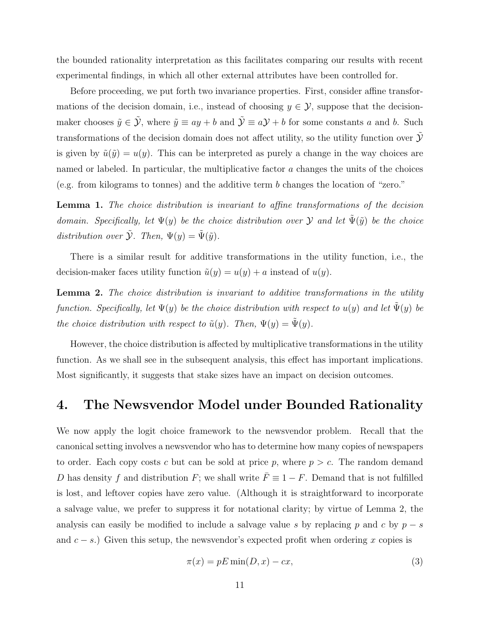the bounded rationality interpretation as this facilitates comparing our results with recent experimental findings, in which all other external attributes have been controlled for.

Before proceeding, we put forth two invariance properties. First, consider affine transformations of the decision domain, i.e., instead of choosing  $y \in \mathcal{Y}$ , suppose that the decisionmaker chooses  $\tilde{y} \in \tilde{\mathcal{Y}}$ , where  $\tilde{y} \equiv ay + b$  and  $\tilde{\mathcal{Y}} \equiv a\mathcal{Y} + b$  for some constants a and b. Such transformations of the decision domain does not affect utility, so the utility function over  $\mathcal{Y}$ is given by  $\tilde{u}(\tilde{y}) = u(y)$ . This can be interpreted as purely a change in the way choices are named or labeled. In particular, the multiplicative factor a changes the units of the choices (e.g. from kilograms to tonnes) and the additive term b changes the location of "zero."

**Lemma 1.** The choice distribution is invariant to affine transformations of the decision domain. Specifically, let  $\Psi(y)$  be the choice distribution over  $\mathcal Y$  and let  $\tilde\Psi(\tilde y)$  be the choice distribution over  $\tilde{\mathcal{Y}}$ . Then,  $\Psi(y) = \tilde{\Psi}(\tilde{y})$ .

There is a similar result for additive transformations in the utility function, i.e., the decision-maker faces utility function  $\tilde{u}(y) = u(y) + a$  instead of  $u(y)$ .

Lemma 2. The choice distribution is invariant to additive transformations in the utility function. Specifically, let  $\Psi(y)$  be the choice distribution with respect to  $u(y)$  and let  $\tilde{\Psi}(y)$  be the choice distribution with respect to  $\tilde{u}(y)$ . Then,  $\Psi(y) = \tilde{\Psi}(y)$ .

However, the choice distribution is affected by multiplicative transformations in the utility function. As we shall see in the subsequent analysis, this effect has important implications. Most significantly, it suggests that stake sizes have an impact on decision outcomes.

## 4. The Newsvendor Model under Bounded Rationality

We now apply the logit choice framework to the newsvendor problem. Recall that the canonical setting involves a newsvendor who has to determine how many copies of newspapers to order. Each copy costs c but can be sold at price p, where  $p > c$ . The random demand D has density f and distribution F; we shall write  $\bar{F} \equiv 1 - F$ . Demand that is not fulfilled is lost, and leftover copies have zero value. (Although it is straightforward to incorporate a salvage value, we prefer to suppress it for notational clarity; by virtue of Lemma 2, the analysis can easily be modified to include a salvage value s by replacing p and c by  $p - s$ and  $c - s$ .) Given this setup, the newsvendor's expected profit when ordering x copies is

$$
\pi(x) = pE \min(D, x) - cx,\tag{3}
$$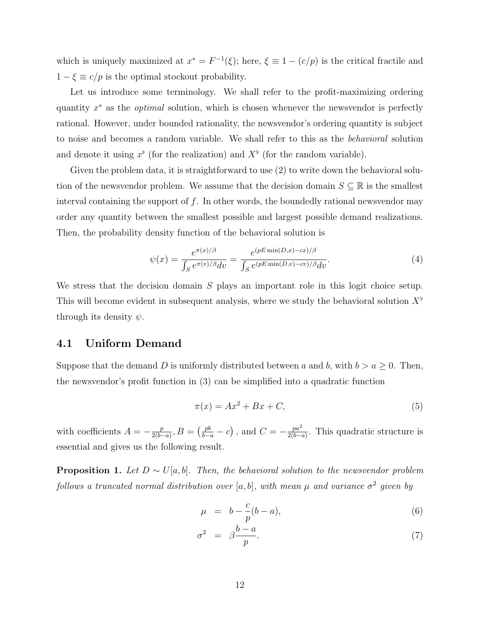which is uniquely maximized at  $x^* = F^{-1}(\xi)$ ; here,  $\xi \equiv 1 - (c/p)$  is the critical fractile and  $1 - \xi \equiv c/p$  is the optimal stockout probability.

Let us introduce some terminology. We shall refer to the profit-maximizing ordering quantity  $x^*$  as the *optimal* solution, which is chosen whenever the newsvendor is perfectly rational. However, under bounded rationality, the newsvendor's ordering quantity is subject to noise and becomes a random variable. We shall refer to this as the behavioral solution and denote it using  $x^{\flat}$  (for the realization) and  $X^{\flat}$  (for the random variable).

Given the problem data, it is straightforward to use (2) to write down the behavioral solution of the newsvendor problem. We assume that the decision domain  $S \subseteq \mathbb{R}$  is the smallest interval containing the support of  $f$ . In other words, the boundedly rational newsvendor may order any quantity between the smallest possible and largest possible demand realizations. Then, the probability density function of the behavioral solution is

$$
\psi(x) = \frac{e^{\pi(x)/\beta}}{\int_{S} e^{\pi(v)/\beta} dv} = \frac{e^{(pE \min(D,x) - cx)/\beta}}{\int_{S} e^{(pE \min(D,v) - cv)/\beta} dv}.
$$
\n(4)

We stress that the decision domain S plays an important role in this logit choice setup. This will become evident in subsequent analysis, where we study the behavioral solution  $X^{\flat}$ through its density  $\psi$ .

#### 4.1 Uniform Demand

Suppose that the demand D is uniformly distributed between a and b, with  $b > a \geq 0$ . Then, the newsvendor's profit function in (3) can be simplified into a quadratic function

$$
\pi(x) = Ax^2 + Bx + C,\tag{5}
$$

with coefficients  $A = -\frac{p}{2(h)}$  $\frac{p}{2(b-a)}, B =$  $\left(\frac{pb}{b-a}-c\right)$ ¢ , and  $C = -\frac{pa^2}{2(b-a)}$  $\frac{pa^2}{2(b-a)}$ . This quadratic structure is essential and gives us the following result.

**Proposition 1.** Let  $D \sim U[a, b]$ . Then, the behavioral solution to the newsvendor problem follows a truncated normal distribution over [a, b], with mean  $\mu$  and variance  $\sigma^2$  given by

$$
\mu = b - \frac{c}{p}(b - a),\tag{6}
$$

$$
\sigma^2 = \beta \frac{b-a}{p}.\tag{7}
$$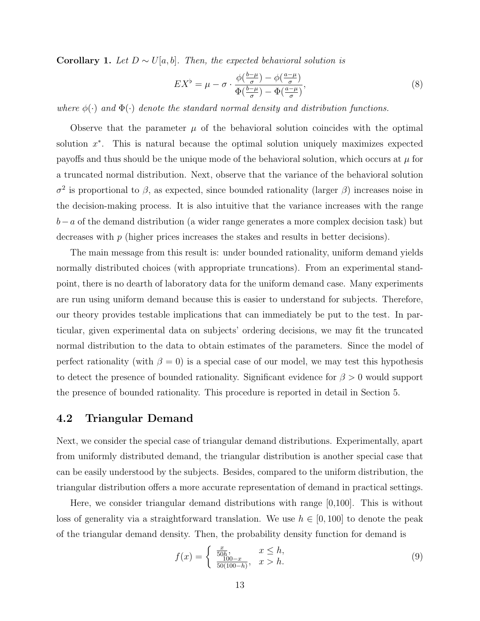**Corollary 1.** Let  $D \sim U[a, b]$ . Then, the expected behavioral solution is

$$
EX^{\flat} = \mu - \sigma \cdot \frac{\phi(\frac{b-\mu}{\sigma}) - \phi(\frac{a-\mu}{\sigma})}{\Phi(\frac{b-\mu}{\sigma}) - \Phi(\frac{a-\mu}{\sigma})},\tag{8}
$$

where  $\phi(\cdot)$  and  $\Phi(\cdot)$  denote the standard normal density and distribution functions.

Observe that the parameter  $\mu$  of the behavioral solution coincides with the optimal solution  $x^*$ . This is natural because the optimal solution uniquely maximizes expected payoffs and thus should be the unique mode of the behavioral solution, which occurs at  $\mu$  for a truncated normal distribution. Next, observe that the variance of the behavioral solution  $\sigma^2$  is proportional to β, as expected, since bounded rationality (larger β) increases noise in the decision-making process. It is also intuitive that the variance increases with the range  $b-a$  of the demand distribution (a wider range generates a more complex decision task) but decreases with p (higher prices increases the stakes and results in better decisions).

The main message from this result is: under bounded rationality, uniform demand yields normally distributed choices (with appropriate truncations). From an experimental standpoint, there is no dearth of laboratory data for the uniform demand case. Many experiments are run using uniform demand because this is easier to understand for subjects. Therefore, our theory provides testable implications that can immediately be put to the test. In particular, given experimental data on subjects' ordering decisions, we may fit the truncated normal distribution to the data to obtain estimates of the parameters. Since the model of perfect rationality (with  $\beta = 0$ ) is a special case of our model, we may test this hypothesis to detect the presence of bounded rationality. Significant evidence for  $\beta > 0$  would support the presence of bounded rationality. This procedure is reported in detail in Section 5.

#### 4.2 Triangular Demand

Next, we consider the special case of triangular demand distributions. Experimentally, apart from uniformly distributed demand, the triangular distribution is another special case that can be easily understood by the subjects. Besides, compared to the uniform distribution, the triangular distribution offers a more accurate representation of demand in practical settings.

Here, we consider triangular demand distributions with range [0,100]. This is without loss of generality via a straightforward translation. We use  $h \in [0, 100]$  to denote the peak of the triangular demand density. Then, the probability density function for demand is

$$
f(x) = \begin{cases} \frac{x}{50h}, & x \le h, \\ \frac{100-x}{50(100-h)}, & x > h. \end{cases}
$$
 (9)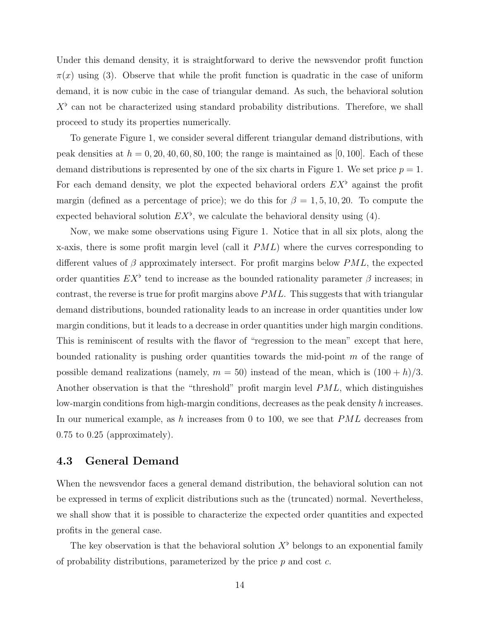Under this demand density, it is straightforward to derive the newsvendor profit function  $\pi(x)$  using (3). Observe that while the profit function is quadratic in the case of uniform demand, it is now cubic in the case of triangular demand. As such, the behavioral solution  $X^{\flat}$  can not be characterized using standard probability distributions. Therefore, we shall proceed to study its properties numerically.

To generate Figure 1, we consider several different triangular demand distributions, with peak densities at  $h = 0, 20, 40, 60, 80, 100$ ; the range is maintained as [0, 100]. Each of these demand distributions is represented by one of the six charts in Figure 1. We set price  $p = 1$ . For each demand density, we plot the expected behavioral orders  $EX^{\flat}$  against the profit margin (defined as a percentage of price); we do this for  $\beta = 1, 5, 10, 20$ . To compute the expected behavioral solution  $EX^{\flat}$ , we calculate the behavioral density using (4).

Now, we make some observations using Figure 1. Notice that in all six plots, along the x-axis, there is some profit margin level (call it  $PML$ ) where the curves corresponding to different values of  $\beta$  approximately intersect. For profit margins below PML, the expected order quantities  $EX^{\flat}$  tend to increase as the bounded rationality parameter  $\beta$  increases; in contrast, the reverse is true for profit margins above  $PML$ . This suggests that with triangular demand distributions, bounded rationality leads to an increase in order quantities under low margin conditions, but it leads to a decrease in order quantities under high margin conditions. This is reminiscent of results with the flavor of "regression to the mean" except that here, bounded rationality is pushing order quantities towards the mid-point  $m$  of the range of possible demand realizations (namely,  $m = 50$ ) instead of the mean, which is  $(100 + h)/3$ . Another observation is that the "threshold" profit margin level PML, which distinguishes low-margin conditions from high-margin conditions, decreases as the peak density h increases. In our numerical example, as  $h$  increases from 0 to 100, we see that  $PML$  decreases from 0.75 to 0.25 (approximately).

#### 4.3 General Demand

When the newsvendor faces a general demand distribution, the behavioral solution can not be expressed in terms of explicit distributions such as the (truncated) normal. Nevertheless, we shall show that it is possible to characterize the expected order quantities and expected profits in the general case.

The key observation is that the behavioral solution  $X^{\flat}$  belongs to an exponential family of probability distributions, parameterized by the price  $p$  and cost  $c$ .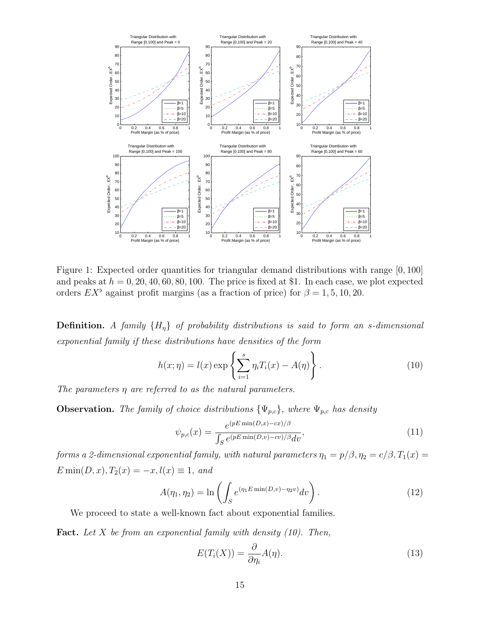

Figure 1: Expected order quantities for triangular demand distributions with range [0, 100] and peaks at  $h = 0, 20, 40, 60, 80, 100$ . The price is fixed at \$1. In each case, we plot expected orders  $EX^{\flat}$  against profit margins (as a fraction of price) for  $\beta = 1, 5, 10, 20$ .

**Definition.** A family  $\{H_n\}$  of probability distributions is said to form an s-dimensional exponential family if these distributions have densities of the form

$$
h(x; \eta) = l(x) \exp \left\{ \sum_{i=1}^{s} \eta_i T_i(x) - A(\eta) \right\}.
$$
 (10)

The parameters  $\eta$  are referred to as the natural parameters.

**Observation.** The family of choice distributions  $\{\Psi_{p,c}\}\$ , where  $\Psi_{p,c}$  has density

$$
\psi_{p,c}(x) = \frac{e^{(pE\min(D,x) - cx)/\beta}}{\int_S e^{(pE\min(D,v) - cv)/\beta} dv},\tag{11}
$$

forms a 2-dimensional exponential family, with natural parameters  $\eta_1 = p/\beta, \eta_2 = c/\beta, T_1(x) =$  $E \min(D, x), T_2(x) = -x, l(x) \equiv 1, \text{ and}$ 

$$
A(\eta_1, \eta_2) = \ln\left(\int_S e^{(\eta_1 E \min(D, v) - \eta_2 v)} dv\right).
$$
\n(12)

We proceed to state a well-known fact about exponential families.

**Fact.** Let X be from an exponential family with density  $(10)$ . Then,

$$
E(T_i(X)) = \frac{\partial}{\partial \eta_i} A(\eta). \tag{13}
$$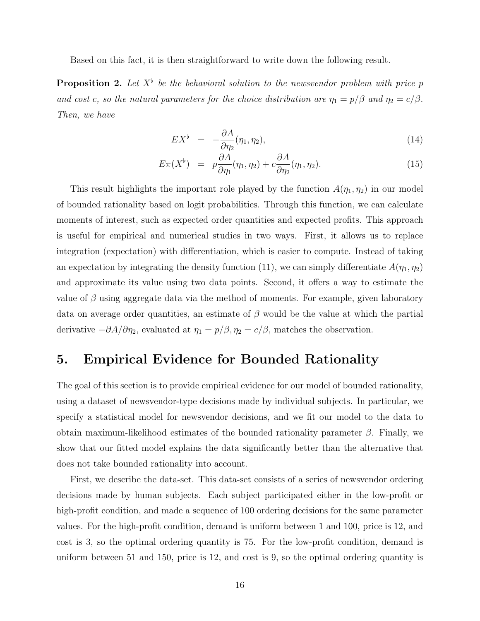Based on this fact, it is then straightforward to write down the following result.

**Proposition 2.** Let  $X^{\flat}$  be the behavioral solution to the newsvendor problem with price p and cost c, so the natural parameters for the choice distribution are  $\eta_1 = p/\beta$  and  $\eta_2 = c/\beta$ . Then, we have

$$
EX^{\flat} = -\frac{\partial A}{\partial \eta_2}(\eta_1, \eta_2), \tag{14}
$$

$$
E\pi(X^{\flat}) = p\frac{\partial A}{\partial \eta_1}(\eta_1, \eta_2) + c\frac{\partial A}{\partial \eta_2}(\eta_1, \eta_2). \tag{15}
$$

This result highlights the important role played by the function  $A(\eta_1, \eta_2)$  in our model of bounded rationality based on logit probabilities. Through this function, we can calculate moments of interest, such as expected order quantities and expected profits. This approach is useful for empirical and numerical studies in two ways. First, it allows us to replace integration (expectation) with differentiation, which is easier to compute. Instead of taking an expectation by integrating the density function (11), we can simply differentiate  $A(\eta_1, \eta_2)$ and approximate its value using two data points. Second, it offers a way to estimate the value of  $\beta$  using aggregate data via the method of moments. For example, given laboratory data on average order quantities, an estimate of  $\beta$  would be the value at which the partial derivative  $-\partial A/\partial \eta_2$ , evaluated at  $\eta_1 = p/\beta, \eta_2 = c/\beta$ , matches the observation.

## 5. Empirical Evidence for Bounded Rationality

The goal of this section is to provide empirical evidence for our model of bounded rationality, using a dataset of newsvendor-type decisions made by individual subjects. In particular, we specify a statistical model for newsvendor decisions, and we fit our model to the data to obtain maximum-likelihood estimates of the bounded rationality parameter  $\beta$ . Finally, we show that our fitted model explains the data significantly better than the alternative that does not take bounded rationality into account.

First, we describe the data-set. This data-set consists of a series of newsvendor ordering decisions made by human subjects. Each subject participated either in the low-profit or high-profit condition, and made a sequence of 100 ordering decisions for the same parameter values. For the high-profit condition, demand is uniform between 1 and 100, price is 12, and cost is 3, so the optimal ordering quantity is 75. For the low-profit condition, demand is uniform between 51 and 150, price is 12, and cost is 9, so the optimal ordering quantity is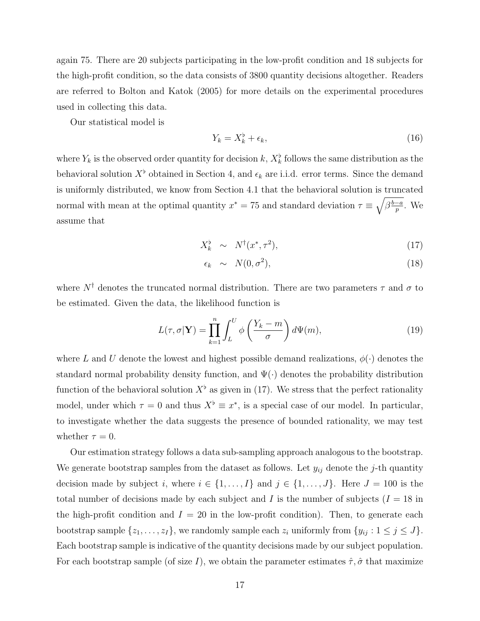again 75. There are 20 subjects participating in the low-profit condition and 18 subjects for the high-profit condition, so the data consists of 3800 quantity decisions altogether. Readers are referred to Bolton and Katok (2005) for more details on the experimental procedures used in collecting this data.

Our statistical model is

$$
Y_k = X_k^{\flat} + \epsilon_k,\tag{16}
$$

where  $Y_k$  is the observed order quantity for decision k,  $X_k^{\flat}$  follows the same distribution as the behavioral solution  $X^{\flat}$  obtained in Section 4, and  $\epsilon_k$  are i.i.d. error terms. Since the demand is uniformly distributed, we know from Section 4.1 that the behavioral solution is truncated normal with mean at the optimal quantity  $x^* = 75$  and standard deviation  $\tau \equiv \sqrt{\beta \frac{b-a}{n}}$  $\frac{-a}{p}$ . We assume that

$$
X_k^{\flat} \sim N^{\dagger}(x^*, \tau^2), \tag{17}
$$

$$
\epsilon_k \sim N(0, \sigma^2), \tag{18}
$$

where  $N^{\dagger}$  denotes the truncated normal distribution. There are two parameters  $\tau$  and  $\sigma$  to be estimated. Given the data, the likelihood function is

$$
L(\tau, \sigma | \mathbf{Y}) = \prod_{k=1}^{n} \int_{L}^{U} \phi \left( \frac{Y_k - m}{\sigma} \right) d\Psi(m), \qquad (19)
$$

where L and U denote the lowest and highest possible demand realizations,  $\phi(\cdot)$  denotes the standard normal probability density function, and  $\Psi(\cdot)$  denotes the probability distribution function of the behavioral solution  $X^{\flat}$  as given in (17). We stress that the perfect rationality model, under which  $\tau = 0$  and thus  $X^{\flat} \equiv x^*$ , is a special case of our model. In particular, to investigate whether the data suggests the presence of bounded rationality, we may test whether  $\tau = 0$ .

Our estimation strategy follows a data sub-sampling approach analogous to the bootstrap. We generate bootstrap samples from the dataset as follows. Let  $y_{ij}$  denote the j-th quantity decision made by subject i, where  $i \in \{1, ..., I\}$  and  $j \in \{1, ..., J\}$ . Here  $J = 100$  is the total number of decisions made by each subject and I is the number of subjects  $(I = 18$  in the high-profit condition and  $I = 20$  in the low-profit condition). Then, to generate each bootstrap sample  $\{z_1, \ldots, z_I\}$ , we randomly sample each  $z_i$  uniformly from  $\{y_{ij} : 1 \leq j \leq J\}$ . Each bootstrap sample is indicative of the quantity decisions made by our subject population. For each bootstrap sample (of size I), we obtain the parameter estimates  $\hat{\tau}$ ,  $\hat{\sigma}$  that maximize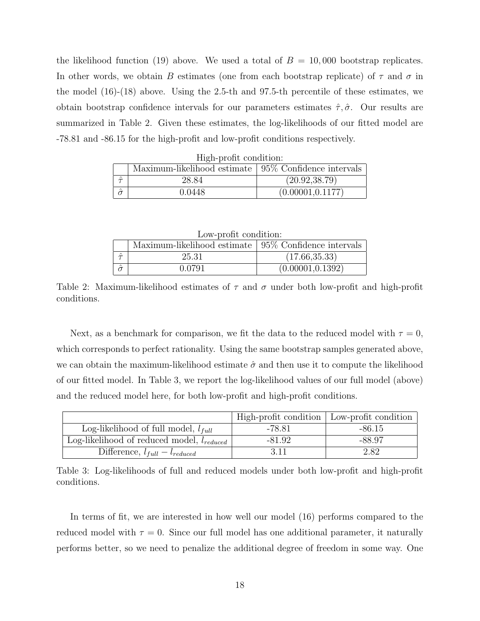the likelihood function (19) above. We used a total of  $B = 10,000$  bootstrap replicates. In other words, we obtain B estimates (one from each bootstrap replicate) of  $\tau$  and  $\sigma$  in the model (16)-(18) above. Using the 2.5-th and 97.5-th percentile of these estimates, we obtain bootstrap confidence intervals for our parameters estimates  $\hat{\tau}, \hat{\sigma}$ . Our results are summarized in Table 2. Given these estimates, the log-likelihoods of our fitted model are -78.81 and -86.15 for the high-profit and low-profit conditions respectively.

|                         |  | High-profit condition:                                 |                   |
|-------------------------|--|--------------------------------------------------------|-------------------|
|                         |  | Maximum-likelihood estimate   95% Confidence intervals |                   |
| $\widehat{\phantom{a}}$ |  | 28.84                                                  | (20.92, 38.79)    |
| $\widehat{\phantom{1}}$ |  | 0.0448                                                 | (0.00001, 0.1177) |

High-profit condition:

Low-profit condition:

| Maximum-likelihood estimate   95% Confidence intervals |                   |
|--------------------------------------------------------|-------------------|
| 25.31                                                  | (17.66, 35.33)    |
| 0.0791                                                 | (0.00001, 0.1392) |

Table 2: Maximum-likelihood estimates of  $\tau$  and  $\sigma$  under both low-profit and high-profit conditions.

Next, as a benchmark for comparison, we fit the data to the reduced model with  $\tau = 0$ , which corresponds to perfect rationality. Using the same bootstrap samples generated above, we can obtain the maximum-likelihood estimate  $\hat{\sigma}$  and then use it to compute the likelihood of our fitted model. In Table 3, we report the log-likelihood values of our full model (above) and the reduced model here, for both low-profit and high-profit conditions.

|                                                | High-profit condition   Low-profit condition |          |
|------------------------------------------------|----------------------------------------------|----------|
| Log-likelihood of full model, $l_{full}$       | -78.81                                       | $-86.15$ |
| Log-likelihood of reduced model, $l_{reduced}$ | -81.92                                       | -88.97   |
| Difference, $l_{full} - l_{reduced}$           | 3.11                                         | 2.82     |

Table 3: Log-likelihoods of full and reduced models under both low-profit and high-profit conditions.

In terms of fit, we are interested in how well our model (16) performs compared to the reduced model with  $\tau = 0$ . Since our full model has one additional parameter, it naturally performs better, so we need to penalize the additional degree of freedom in some way. One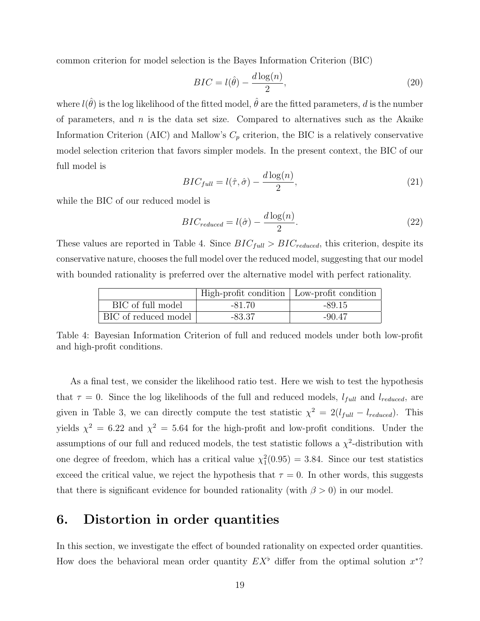common criterion for model selection is the Bayes Information Criterion (BIC)

$$
BIC = l(\hat{\theta}) - \frac{d \log(n)}{2},\tag{20}
$$

where  $l(\hat{\theta})$  is the log likelihood of the fitted model,  $\hat{\theta}$  are the fitted parameters, d is the number of parameters, and  $n$  is the data set size. Compared to alternatives such as the Akaike Information Criterion (AIC) and Mallow's  $C_p$  criterion, the BIC is a relatively conservative model selection criterion that favors simpler models. In the present context, the BIC of our full model is

$$
BIC_{full} = l(\hat{\tau}, \hat{\sigma}) - \frac{d \log(n)}{2},\tag{21}
$$

while the BIC of our reduced model is

$$
BIC_{reduced} = l(\hat{\sigma}) - \frac{d \log(n)}{2}.
$$
\n(22)

These values are reported in Table 4. Since  $BIC_{full} > BIC_{reduced}$ , this criterion, despite its conservative nature, chooses the full model over the reduced model, suggesting that our model with bounded rationality is preferred over the alternative model with perfect rationality.

|                      | High-profit condition   Low-profit condition |          |
|----------------------|----------------------------------------------|----------|
| BIC of full model    | $-81.70$                                     | -89.15   |
| BIC of reduced model | $-83.37$                                     | $-90.47$ |

Table 4: Bayesian Information Criterion of full and reduced models under both low-profit and high-profit conditions.

As a final test, we consider the likelihood ratio test. Here we wish to test the hypothesis that  $\tau = 0$ . Since the log likelihoods of the full and reduced models,  $l_{full}$  and  $l_{reduced}$ , are given in Table 3, we can directly compute the test statistic  $\chi^2 = 2(l_{full} - l_{reduced})$ . This yields  $\chi^2 = 6.22$  and  $\chi^2 = 5.64$  for the high-profit and low-profit conditions. Under the assumptions of our full and reduced models, the test statistic follows a  $\chi^2$ -distribution with one degree of freedom, which has a critical value  $\chi_1^2(0.95) = 3.84$ . Since our test statistics exceed the critical value, we reject the hypothesis that  $\tau = 0$ . In other words, this suggests that there is significant evidence for bounded rationality (with  $\beta > 0$ ) in our model.

## 6. Distortion in order quantities

In this section, we investigate the effect of bounded rationality on expected order quantities. How does the behavioral mean order quantity  $EX^{\flat}$  differ from the optimal solution  $x^*$ ?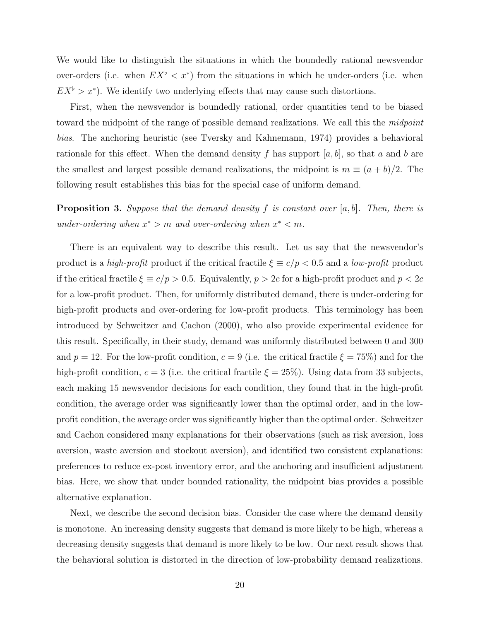We would like to distinguish the situations in which the boundedly rational newsvendor over-orders (i.e. when  $EX^{\flat} < x^*$ ) from the situations in which he under-orders (i.e. when  $EX^{\flat} > x^*$ ). We identify two underlying effects that may cause such distortions.

First, when the newsvendor is boundedly rational, order quantities tend to be biased toward the midpoint of the range of possible demand realizations. We call this the *midpoint* bias. The anchoring heuristic (see Tversky and Kahnemann, 1974) provides a behavioral rationale for this effect. When the demand density f has support  $[a, b]$ , so that a and b are the smallest and largest possible demand realizations, the midpoint is  $m \equiv (a + b)/2$ . The following result establishes this bias for the special case of uniform demand.

**Proposition 3.** Suppose that the demand density f is constant over  $[a, b]$ . Then, there is under-ordering when  $x^* > m$  and over-ordering when  $x^* < m$ .

There is an equivalent way to describe this result. Let us say that the newsvendor's product is a high-profit product if the critical fractile  $\xi \equiv c/p < 0.5$  and a low-profit product if the critical fractile  $\xi \equiv c/p > 0.5$ . Equivalently,  $p > 2c$  for a high-profit product and  $p < 2c$ for a low-profit product. Then, for uniformly distributed demand, there is under-ordering for high-profit products and over-ordering for low-profit products. This terminology has been introduced by Schweitzer and Cachon (2000), who also provide experimental evidence for this result. Specifically, in their study, demand was uniformly distributed between 0 and 300 and  $p = 12$ . For the low-profit condition,  $c = 9$  (i.e. the critical fractile  $\xi = 75\%$ ) and for the high-profit condition,  $c = 3$  (i.e. the critical fractile  $\xi = 25\%$ ). Using data from 33 subjects, each making 15 newsvendor decisions for each condition, they found that in the high-profit condition, the average order was significantly lower than the optimal order, and in the lowprofit condition, the average order was significantly higher than the optimal order. Schweitzer and Cachon considered many explanations for their observations (such as risk aversion, loss aversion, waste aversion and stockout aversion), and identified two consistent explanations: preferences to reduce ex-post inventory error, and the anchoring and insufficient adjustment bias. Here, we show that under bounded rationality, the midpoint bias provides a possible alternative explanation.

Next, we describe the second decision bias. Consider the case where the demand density is monotone. An increasing density suggests that demand is more likely to be high, whereas a decreasing density suggests that demand is more likely to be low. Our next result shows that the behavioral solution is distorted in the direction of low-probability demand realizations.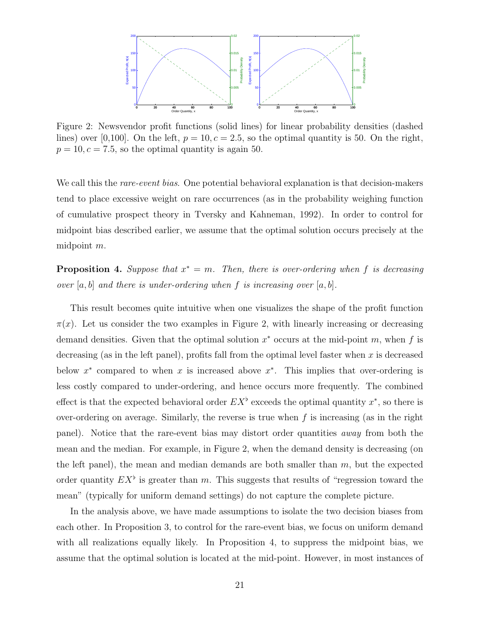

Figure 2: Newsvendor profit functions (solid lines) for linear probability densities (dashed lines) over [0,100]. On the left,  $p = 10, c = 2.5$ , so the optimal quantity is 50. On the right,  $p = 10, c = 7.5$ , so the optimal quantity is again 50.

We call this the *rare-event bias*. One potential behavioral explanation is that decision-makers tend to place excessive weight on rare occurrences (as in the probability weighing function of cumulative prospect theory in Tversky and Kahneman, 1992). In order to control for midpoint bias described earlier, we assume that the optimal solution occurs precisely at the midpoint m.

**Proposition 4.** Suppose that  $x^* = m$ . Then, there is over-ordering when f is decreasing over  $[a, b]$  and there is under-ordering when f is increasing over  $[a, b]$ .

This result becomes quite intuitive when one visualizes the shape of the profit function  $\pi(x)$ . Let us consider the two examples in Figure 2, with linearly increasing or decreasing demand densities. Given that the optimal solution  $x^*$  occurs at the mid-point m, when f is decreasing (as in the left panel), profits fall from the optimal level faster when  $x$  is decreased below  $x^*$  compared to when x is increased above  $x^*$ . This implies that over-ordering is less costly compared to under-ordering, and hence occurs more frequently. The combined effect is that the expected behavioral order  $EX^{\flat}$  exceeds the optimal quantity  $x^*$ , so there is over-ordering on average. Similarly, the reverse is true when  $f$  is increasing (as in the right panel). Notice that the rare-event bias may distort order quantities away from both the mean and the median. For example, in Figure 2, when the demand density is decreasing (on the left panel), the mean and median demands are both smaller than  $m$ , but the expected order quantity  $EX^{\flat}$  is greater than m. This suggests that results of "regression toward the mean" (typically for uniform demand settings) do not capture the complete picture.

In the analysis above, we have made assumptions to isolate the two decision biases from each other. In Proposition 3, to control for the rare-event bias, we focus on uniform demand with all realizations equally likely. In Proposition 4, to suppress the midpoint bias, we assume that the optimal solution is located at the mid-point. However, in most instances of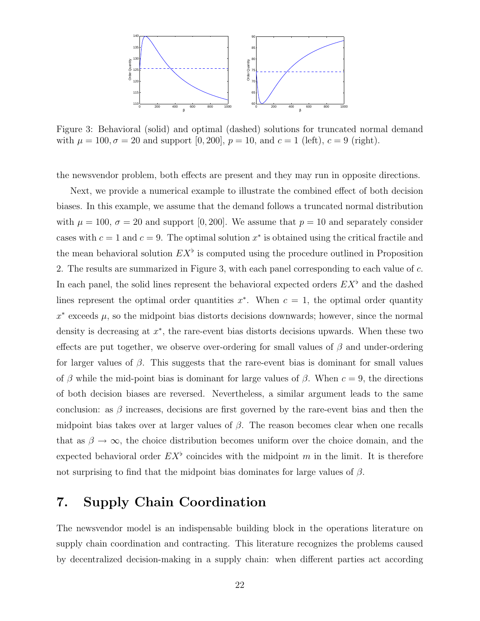

Figure 3: Behavioral (solid) and optimal (dashed) solutions for truncated normal demand with  $\mu = 100, \sigma = 20$  and support [0, 200],  $p = 10$ , and  $c = 1$  (left),  $c = 9$  (right).

the newsvendor problem, both effects are present and they may run in opposite directions.

Next, we provide a numerical example to illustrate the combined effect of both decision biases. In this example, we assume that the demand follows a truncated normal distribution with  $\mu = 100$ ,  $\sigma = 20$  and support [0, 200]. We assume that  $p = 10$  and separately consider cases with  $c = 1$  and  $c = 9$ . The optimal solution  $x^*$  is obtained using the critical fractile and the mean behavioral solution  $EX^{\flat}$  is computed using the procedure outlined in Proposition 2. The results are summarized in Figure 3, with each panel corresponding to each value of c. In each panel, the solid lines represent the behavioral expected orders  $EX^{\flat}$  and the dashed lines represent the optimal order quantities  $x^*$ . When  $c = 1$ , the optimal order quantity  $x^*$  exceeds  $\mu$ , so the midpoint bias distorts decisions downwards; however, since the normal density is decreasing at  $x^*$ , the rare-event bias distorts decisions upwards. When these two effects are put together, we observe over-ordering for small values of  $\beta$  and under-ordering for larger values of  $\beta$ . This suggests that the rare-event bias is dominant for small values of  $\beta$  while the mid-point bias is dominant for large values of  $\beta$ . When  $c = 9$ , the directions of both decision biases are reversed. Nevertheless, a similar argument leads to the same conclusion: as  $\beta$  increases, decisions are first governed by the rare-event bias and then the midpoint bias takes over at larger values of  $\beta$ . The reason becomes clear when one recalls that as  $\beta \to \infty$ , the choice distribution becomes uniform over the choice domain, and the expected behavioral order  $EX^{\flat}$  coincides with the midpoint m in the limit. It is therefore not surprising to find that the midpoint bias dominates for large values of  $\beta$ .

## 7. Supply Chain Coordination

The newsvendor model is an indispensable building block in the operations literature on supply chain coordination and contracting. This literature recognizes the problems caused by decentralized decision-making in a supply chain: when different parties act according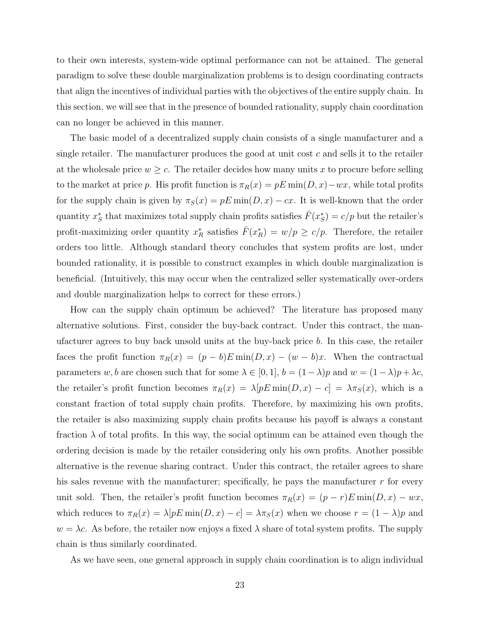to their own interests, system-wide optimal performance can not be attained. The general paradigm to solve these double marginalization problems is to design coordinating contracts that align the incentives of individual parties with the objectives of the entire supply chain. In this section, we will see that in the presence of bounded rationality, supply chain coordination can no longer be achieved in this manner.

The basic model of a decentralized supply chain consists of a single manufacturer and a single retailer. The manufacturer produces the good at unit cost  $c$  and sells it to the retailer at the wholesale price  $w \geq c$ . The retailer decides how many units x to procure before selling to the market at price p. His profit function is  $\pi_R(x) = pE \min(D, x) - wx$ , while total profits for the supply chain is given by  $\pi_S(x) = pE \min(D, x) - cx$ . It is well-known that the order quantity  $x_S^*$  that maximizes total supply chain profits satisfies  $\bar{F}(x_S^*) = c/p$  but the retailer's profit-maximizing order quantity  $x_R^*$  satisfies  $\bar{F}(x_R^*) = w/p \ge c/p$ . Therefore, the retailer orders too little. Although standard theory concludes that system profits are lost, under bounded rationality, it is possible to construct examples in which double marginalization is beneficial. (Intuitively, this may occur when the centralized seller systematically over-orders and double marginalization helps to correct for these errors.)

How can the supply chain optimum be achieved? The literature has proposed many alternative solutions. First, consider the buy-back contract. Under this contract, the manufacturer agrees to buy back unsold units at the buy-back price b. In this case, the retailer faces the profit function  $\pi_R(x) = (p - b)E \min(D, x) - (w - b)x$ . When the contractual parameters w, b are chosen such that for some  $\lambda \in [0,1]$ ,  $b = (1 - \lambda)p$  and  $w = (1 - \lambda)p + \lambda c$ , the retailer's profit function becomes  $\pi_R(x) = \lambda [pE \min(D, x) - c] = \lambda \pi_S(x)$ , which is a constant fraction of total supply chain profits. Therefore, by maximizing his own profits, the retailer is also maximizing supply chain profits because his payoff is always a constant fraction  $\lambda$  of total profits. In this way, the social optimum can be attained even though the ordering decision is made by the retailer considering only his own profits. Another possible alternative is the revenue sharing contract. Under this contract, the retailer agrees to share his sales revenue with the manufacturer; specifically, he pays the manufacturer r for every unit sold. Then, the retailer's profit function becomes  $\pi_R(x) = (p - r)E \min(D, x) - wx$ , which reduces to  $\pi_R(x) = \lambda[pE \min(D, x) - c] = \lambda \pi_S(x)$  when we choose  $r = (1 - \lambda)p$  and  $w = \lambda c$ . As before, the retailer now enjoys a fixed  $\lambda$  share of total system profits. The supply chain is thus similarly coordinated.

As we have seen, one general approach in supply chain coordination is to align individual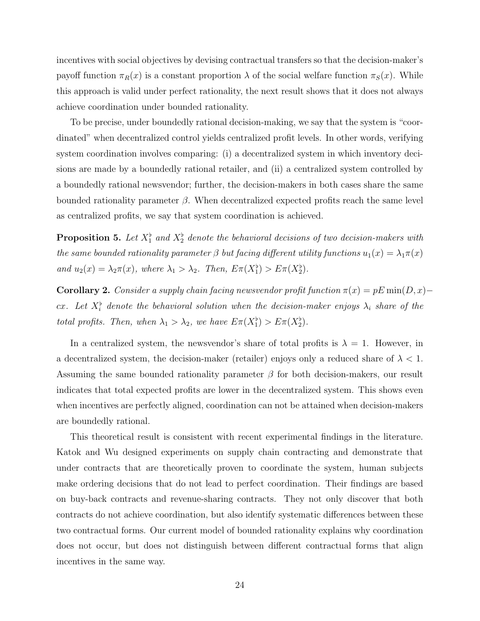incentives with social objectives by devising contractual transfers so that the decision-maker's payoff function  $\pi_R(x)$  is a constant proportion  $\lambda$  of the social welfare function  $\pi_S(x)$ . While this approach is valid under perfect rationality, the next result shows that it does not always achieve coordination under bounded rationality.

To be precise, under boundedly rational decision-making, we say that the system is "coordinated" when decentralized control yields centralized profit levels. In other words, verifying system coordination involves comparing: (i) a decentralized system in which inventory decisions are made by a boundedly rational retailer, and (ii) a centralized system controlled by a boundedly rational newsvendor; further, the decision-makers in both cases share the same bounded rationality parameter  $\beta$ . When decentralized expected profits reach the same level as centralized profits, we say that system coordination is achieved.

**Proposition 5.** Let  $X_1^{\flat}$  and  $X_2^{\flat}$  denote the behavioral decisions of two decision-makers with the same bounded rationality parameter  $\beta$  but facing different utility functions  $u_1(x) = \lambda_1 \pi(x)$ and  $u_2(x) = \lambda_2 \pi(x)$ , where  $\lambda_1 > \lambda_2$ . Then,  $E \pi(X_1^{\flat}) > E \pi(X_2^{\flat})$ .

**Corollary 2.** Consider a supply chain facing newsvendor profit function  $\pi(x) = pE \min(D, x)$ – cx. Let  $X_i^{\flat}$  denote the behavioral solution when the decision-maker enjoys  $\lambda_i$  share of the total profits. Then, when  $\lambda_1 > \lambda_2$ , we have  $E \pi(X_1^{\flat}) > E \pi(X_2^{\flat})$ .

In a centralized system, the newsvendor's share of total profits is  $\lambda = 1$ . However, in a decentralized system, the decision-maker (retailer) enjoys only a reduced share of  $\lambda < 1$ . Assuming the same bounded rationality parameter  $\beta$  for both decision-makers, our result indicates that total expected profits are lower in the decentralized system. This shows even when incentives are perfectly aligned, coordination can not be attained when decision-makers are boundedly rational.

This theoretical result is consistent with recent experimental findings in the literature. Katok and Wu designed experiments on supply chain contracting and demonstrate that under contracts that are theoretically proven to coordinate the system, human subjects make ordering decisions that do not lead to perfect coordination. Their findings are based on buy-back contracts and revenue-sharing contracts. They not only discover that both contracts do not achieve coordination, but also identify systematic differences between these two contractual forms. Our current model of bounded rationality explains why coordination does not occur, but does not distinguish between different contractual forms that align incentives in the same way.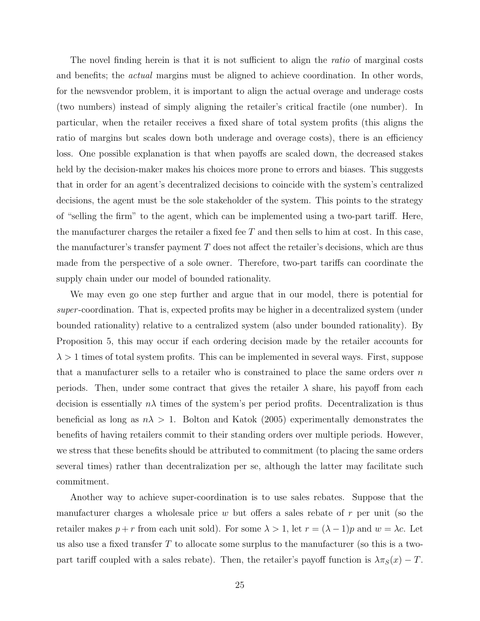The novel finding herein is that it is not sufficient to align the *ratio* of marginal costs and benefits; the *actual* margins must be aligned to achieve coordination. In other words, for the newsvendor problem, it is important to align the actual overage and underage costs (two numbers) instead of simply aligning the retailer's critical fractile (one number). In particular, when the retailer receives a fixed share of total system profits (this aligns the ratio of margins but scales down both underage and overage costs), there is an efficiency loss. One possible explanation is that when payoffs are scaled down, the decreased stakes held by the decision-maker makes his choices more prone to errors and biases. This suggests that in order for an agent's decentralized decisions to coincide with the system's centralized decisions, the agent must be the sole stakeholder of the system. This points to the strategy of "selling the firm" to the agent, which can be implemented using a two-part tariff. Here, the manufacturer charges the retailer a fixed fee  $T$  and then sells to him at cost. In this case, the manufacturer's transfer payment  $T$  does not affect the retailer's decisions, which are thus made from the perspective of a sole owner. Therefore, two-part tariffs can coordinate the supply chain under our model of bounded rationality.

We may even go one step further and argue that in our model, there is potential for super-coordination. That is, expected profits may be higher in a decentralized system (under bounded rationality) relative to a centralized system (also under bounded rationality). By Proposition 5, this may occur if each ordering decision made by the retailer accounts for  $\lambda > 1$  times of total system profits. This can be implemented in several ways. First, suppose that a manufacturer sells to a retailer who is constrained to place the same orders over  $n$ periods. Then, under some contract that gives the retailer  $\lambda$  share, his payoff from each decision is essentially  $n\lambda$  times of the system's per period profits. Decentralization is thus beneficial as long as  $n\lambda > 1$ . Bolton and Katok (2005) experimentally demonstrates the benefits of having retailers commit to their standing orders over multiple periods. However, we stress that these benefits should be attributed to commitment (to placing the same orders several times) rather than decentralization per se, although the latter may facilitate such commitment.

Another way to achieve super-coordination is to use sales rebates. Suppose that the manufacturer charges a wholesale price w but offers a sales rebate of  $r$  per unit (so the retailer makes  $p + r$  from each unit sold). For some  $\lambda > 1$ , let  $r = (\lambda - 1)p$  and  $w = \lambda c$ . Let us also use a fixed transfer  $T$  to allocate some surplus to the manufacturer (so this is a twopart tariff coupled with a sales rebate). Then, the retailer's payoff function is  $\lambda \pi_S(x) - T$ .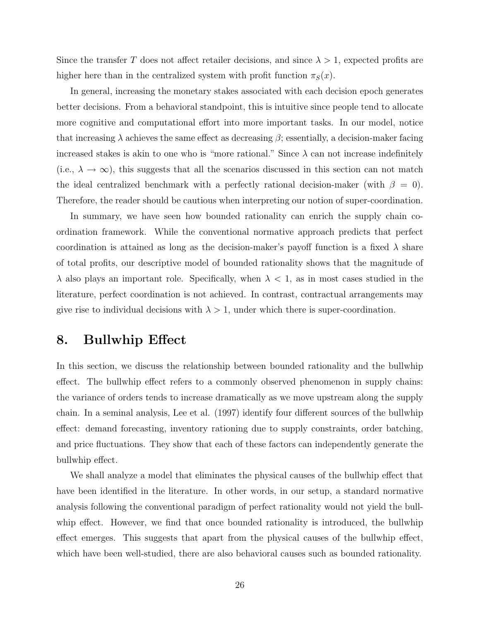Since the transfer T does not affect retailer decisions, and since  $\lambda > 1$ , expected profits are higher here than in the centralized system with profit function  $\pi_S(x)$ .

In general, increasing the monetary stakes associated with each decision epoch generates better decisions. From a behavioral standpoint, this is intuitive since people tend to allocate more cognitive and computational effort into more important tasks. In our model, notice that increasing  $\lambda$  achieves the same effect as decreasing  $\beta$ ; essentially, a decision-maker facing increased stakes is akin to one who is "more rational." Since  $\lambda$  can not increase indefinitely (i.e.,  $\lambda \to \infty$ ), this suggests that all the scenarios discussed in this section can not match the ideal centralized benchmark with a perfectly rational decision-maker (with  $\beta = 0$ ). Therefore, the reader should be cautious when interpreting our notion of super-coordination.

In summary, we have seen how bounded rationality can enrich the supply chain coordination framework. While the conventional normative approach predicts that perfect coordination is attained as long as the decision-maker's payoff function is a fixed  $\lambda$  share of total profits, our descriptive model of bounded rationality shows that the magnitude of  $\lambda$  also plays an important role. Specifically, when  $\lambda < 1$ , as in most cases studied in the literature, perfect coordination is not achieved. In contrast, contractual arrangements may give rise to individual decisions with  $\lambda > 1$ , under which there is super-coordination.

## 8. Bullwhip Effect

In this section, we discuss the relationship between bounded rationality and the bullwhip effect. The bullwhip effect refers to a commonly observed phenomenon in supply chains: the variance of orders tends to increase dramatically as we move upstream along the supply chain. In a seminal analysis, Lee et al. (1997) identify four different sources of the bullwhip effect: demand forecasting, inventory rationing due to supply constraints, order batching, and price fluctuations. They show that each of these factors can independently generate the bullwhip effect.

We shall analyze a model that eliminates the physical causes of the bullwhip effect that have been identified in the literature. In other words, in our setup, a standard normative analysis following the conventional paradigm of perfect rationality would not yield the bullwhip effect. However, we find that once bounded rationality is introduced, the bullwhip effect emerges. This suggests that apart from the physical causes of the bullwhip effect, which have been well-studied, there are also behavioral causes such as bounded rationality.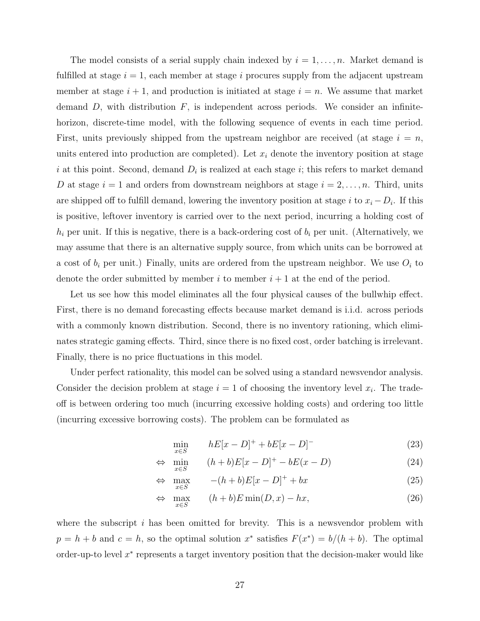The model consists of a serial supply chain indexed by  $i = 1, \ldots, n$ . Market demand is fulfilled at stage  $i = 1$ , each member at stage i procures supply from the adjacent upstream member at stage  $i + 1$ , and production is initiated at stage  $i = n$ . We assume that market demand  $D$ , with distribution  $F$ , is independent across periods. We consider an infinitehorizon, discrete-time model, with the following sequence of events in each time period. First, units previously shipped from the upstream neighbor are received (at stage  $i = n$ , units entered into production are completed). Let  $x_i$  denote the inventory position at stage i at this point. Second, demand  $D_i$  is realized at each stage i; this refers to market demand D at stage  $i = 1$  and orders from downstream neighbors at stage  $i = 2, \ldots, n$ . Third, units are shipped off to fulfill demand, lowering the inventory position at stage i to  $x_i - D_i$ . If this is positive, leftover inventory is carried over to the next period, incurring a holding cost of  $h_i$  per unit. If this is negative, there is a back-ordering cost of  $b_i$  per unit. (Alternatively, we may assume that there is an alternative supply source, from which units can be borrowed at a cost of  $b_i$  per unit.) Finally, units are ordered from the upstream neighbor. We use  $O_i$  to denote the order submitted by member i to member  $i + 1$  at the end of the period.

Let us see how this model eliminates all the four physical causes of the bullwhip effect. First, there is no demand forecasting effects because market demand is i.i.d. across periods with a commonly known distribution. Second, there is no inventory rationing, which eliminates strategic gaming effects. Third, since there is no fixed cost, order batching is irrelevant. Finally, there is no price fluctuations in this model.

Under perfect rationality, this model can be solved using a standard newsvendor analysis. Consider the decision problem at stage  $i = 1$  of choosing the inventory level  $x_i$ . The tradeoff is between ordering too much (incurring excessive holding costs) and ordering too little (incurring excessive borrowing costs). The problem can be formulated as

$$
\min_{x \in S} \qquad hE[x - D]^{+} + bE[x - D]^{-} \tag{23}
$$

$$
\Leftrightarrow \min_{x \in S} \quad (h+b)E[x-D]^{+} - bE(x-D) \tag{24}
$$

$$
\Leftrightarrow \max_{x \in S} \quad -(h+b)E[x-D]^+ + bx \tag{25}
$$

$$
\Leftrightarrow \max_{x \in S} \qquad (h+b)E \min(D, x) - hx,\tag{26}
$$

where the subscript i has been omitted for brevity. This is a newsvendor problem with  $p = h + b$  and  $c = h$ , so the optimal solution  $x^*$  satisfies  $F(x^*) = b/(h + b)$ . The optimal order-up-to level  $x^*$  represents a target inventory position that the decision-maker would like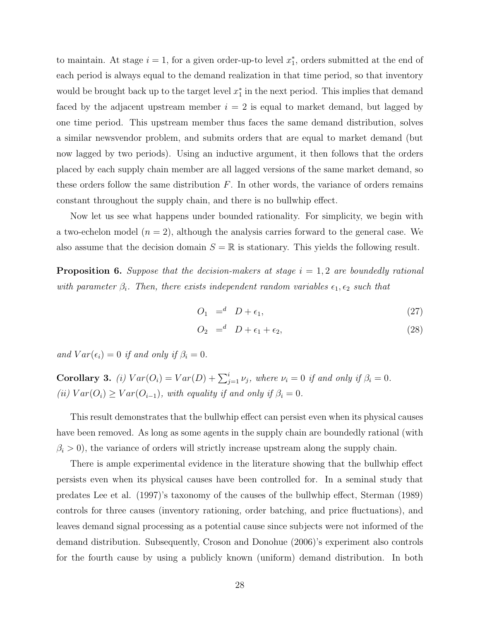to maintain. At stage  $i = 1$ , for a given order-up-to level  $x_1^*$ , orders submitted at the end of each period is always equal to the demand realization in that time period, so that inventory would be brought back up to the target level  $x_1^*$  in the next period. This implies that demand faced by the adjacent upstream member  $i = 2$  is equal to market demand, but lagged by one time period. This upstream member thus faces the same demand distribution, solves a similar newsvendor problem, and submits orders that are equal to market demand (but now lagged by two periods). Using an inductive argument, it then follows that the orders placed by each supply chain member are all lagged versions of the same market demand, so these orders follow the same distribution  $F$ . In other words, the variance of orders remains constant throughout the supply chain, and there is no bullwhip effect.

Now let us see what happens under bounded rationality. For simplicity, we begin with a two-echelon model  $(n = 2)$ , although the analysis carries forward to the general case. We also assume that the decision domain  $S = \mathbb{R}$  is stationary. This yields the following result.

**Proposition 6.** Suppose that the decision-makers at stage  $i = 1, 2$  are boundedly rational with parameter  $\beta_i$ . Then, there exists independent random variables  $\epsilon_1, \epsilon_2$  such that

$$
O_1 =^d D + \epsilon_1,\tag{27}
$$

$$
O_2 =^d D + \epsilon_1 + \epsilon_2, \tag{28}
$$

and  $Var(\epsilon_i) = 0$  if and only if  $\beta_i = 0$ .

**Corollary 3.** (i)  $Var(O_i) = Var(D) + \sum_{j=1}^{i} \nu_j$ , where  $\nu_i = 0$  if and only if  $\beta_i = 0$ . (ii)  $Var(O_i) \geq Var(O_{i-1})$ , with equality if and only if  $\beta_i = 0$ .

This result demonstrates that the bullwhip effect can persist even when its physical causes have been removed. As long as some agents in the supply chain are boundedly rational (with  $\beta_i > 0$ , the variance of orders will strictly increase upstream along the supply chain.

There is ample experimental evidence in the literature showing that the bullwhip effect persists even when its physical causes have been controlled for. In a seminal study that predates Lee et al. (1997)'s taxonomy of the causes of the bullwhip effect, Sterman (1989) controls for three causes (inventory rationing, order batching, and price fluctuations), and leaves demand signal processing as a potential cause since subjects were not informed of the demand distribution. Subsequently, Croson and Donohue (2006)'s experiment also controls for the fourth cause by using a publicly known (uniform) demand distribution. In both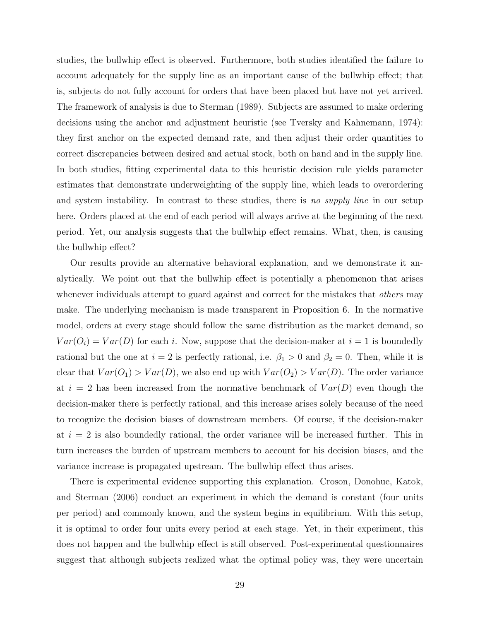studies, the bullwhip effect is observed. Furthermore, both studies identified the failure to account adequately for the supply line as an important cause of the bullwhip effect; that is, subjects do not fully account for orders that have been placed but have not yet arrived. The framework of analysis is due to Sterman (1989). Subjects are assumed to make ordering decisions using the anchor and adjustment heuristic (see Tversky and Kahnemann, 1974): they first anchor on the expected demand rate, and then adjust their order quantities to correct discrepancies between desired and actual stock, both on hand and in the supply line. In both studies, fitting experimental data to this heuristic decision rule yields parameter estimates that demonstrate underweighting of the supply line, which leads to overordering and system instability. In contrast to these studies, there is no supply line in our setup here. Orders placed at the end of each period will always arrive at the beginning of the next period. Yet, our analysis suggests that the bullwhip effect remains. What, then, is causing the bullwhip effect?

Our results provide an alternative behavioral explanation, and we demonstrate it analytically. We point out that the bullwhip effect is potentially a phenomenon that arises whenever individuals attempt to guard against and correct for the mistakes that *others* may make. The underlying mechanism is made transparent in Proposition 6. In the normative model, orders at every stage should follow the same distribution as the market demand, so  $Var(O_i) = Var(D)$  for each i. Now, suppose that the decision-maker at  $i = 1$  is boundedly rational but the one at  $i = 2$  is perfectly rational, i.e.  $\beta_1 > 0$  and  $\beta_2 = 0$ . Then, while it is clear that  $Var(O_1) > Var(D)$ , we also end up with  $Var(O_2) > Var(D)$ . The order variance at  $i = 2$  has been increased from the normative benchmark of  $Var(D)$  even though the decision-maker there is perfectly rational, and this increase arises solely because of the need to recognize the decision biases of downstream members. Of course, if the decision-maker at  $i = 2$  is also boundedly rational, the order variance will be increased further. This in turn increases the burden of upstream members to account for his decision biases, and the variance increase is propagated upstream. The bullwhip effect thus arises.

There is experimental evidence supporting this explanation. Croson, Donohue, Katok, and Sterman (2006) conduct an experiment in which the demand is constant (four units per period) and commonly known, and the system begins in equilibrium. With this setup, it is optimal to order four units every period at each stage. Yet, in their experiment, this does not happen and the bullwhip effect is still observed. Post-experimental questionnaires suggest that although subjects realized what the optimal policy was, they were uncertain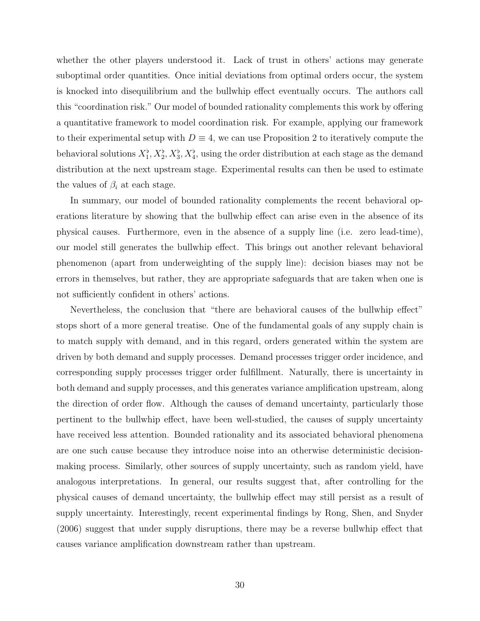whether the other players understood it. Lack of trust in others' actions may generate suboptimal order quantities. Once initial deviations from optimal orders occur, the system is knocked into disequilibrium and the bullwhip effect eventually occurs. The authors call this "coordination risk." Our model of bounded rationality complements this work by offering a quantitative framework to model coordination risk. For example, applying our framework to their experimental setup with  $D \equiv 4$ , we can use Proposition 2 to iteratively compute the behavioral solutions  $X_1^{\flat}, X_2^{\flat}, X_3^{\flat}, X_4^{\flat}$ , using the order distribution at each stage as the demand distribution at the next upstream stage. Experimental results can then be used to estimate the values of  $\beta_i$  at each stage.

In summary, our model of bounded rationality complements the recent behavioral operations literature by showing that the bullwhip effect can arise even in the absence of its physical causes. Furthermore, even in the absence of a supply line (i.e. zero lead-time), our model still generates the bullwhip effect. This brings out another relevant behavioral phenomenon (apart from underweighting of the supply line): decision biases may not be errors in themselves, but rather, they are appropriate safeguards that are taken when one is not sufficiently confident in others' actions.

Nevertheless, the conclusion that "there are behavioral causes of the bullwhip effect" stops short of a more general treatise. One of the fundamental goals of any supply chain is to match supply with demand, and in this regard, orders generated within the system are driven by both demand and supply processes. Demand processes trigger order incidence, and corresponding supply processes trigger order fulfillment. Naturally, there is uncertainty in both demand and supply processes, and this generates variance amplification upstream, along the direction of order flow. Although the causes of demand uncertainty, particularly those pertinent to the bullwhip effect, have been well-studied, the causes of supply uncertainty have received less attention. Bounded rationality and its associated behavioral phenomena are one such cause because they introduce noise into an otherwise deterministic decisionmaking process. Similarly, other sources of supply uncertainty, such as random yield, have analogous interpretations. In general, our results suggest that, after controlling for the physical causes of demand uncertainty, the bullwhip effect may still persist as a result of supply uncertainty. Interestingly, recent experimental findings by Rong, Shen, and Snyder (2006) suggest that under supply disruptions, there may be a reverse bullwhip effect that causes variance amplification downstream rather than upstream.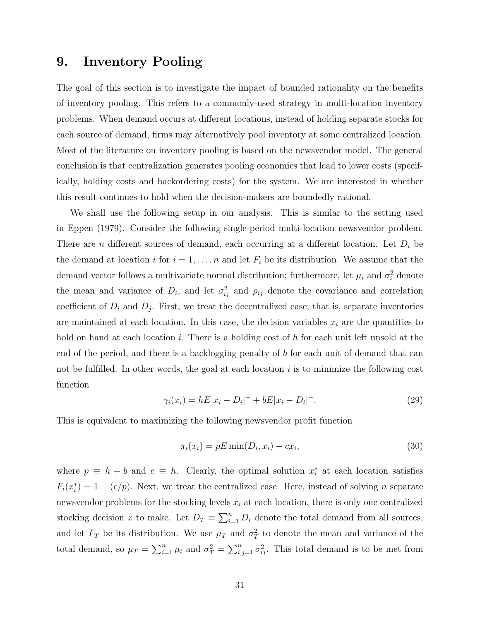## 9. Inventory Pooling

The goal of this section is to investigate the impact of bounded rationality on the benefits of inventory pooling. This refers to a commonly-used strategy in multi-location inventory problems. When demand occurs at different locations, instead of holding separate stocks for each source of demand, firms may alternatively pool inventory at some centralized location. Most of the literature on inventory pooling is based on the newsvendor model. The general conclusion is that centralization generates pooling economies that lead to lower costs (specifically, holding costs and backordering costs) for the system. We are interested in whether this result continues to hold when the decision-makers are boundedly rational.

We shall use the following setup in our analysis. This is similar to the setting used in Eppen (1979). Consider the following single-period multi-location newsvendor problem. There are n different sources of demand, each occurring at a different location. Let  $D_i$  be the demand at location i for  $i = 1, \ldots, n$  and let  $F_i$  be its distribution. We assume that the demand vector follows a multivariate normal distribution; furthermore, let  $\mu_i$  and  $\sigma_i^2$  denote the mean and variance of  $D_i$ , and let  $\sigma_{ij}^2$  and  $\rho_{ij}$  denote the covariance and correlation coefficient of  $D_i$  and  $D_j$ . First, we treat the decentralized case; that is, separate inventories are maintained at each location. In this case, the decision variables  $x_i$  are the quantities to hold on hand at each location i. There is a holding cost of h for each unit left unsold at the end of the period, and there is a backlogging penalty of b for each unit of demand that can not be fulfilled. In other words, the goal at each location  $i$  is to minimize the following cost function

$$
\gamma_i(x_i) = hE[x_i - D_i]^+ + bE[x_i - D_i]^-.
$$
\n(29)

This is equivalent to maximizing the following newsvendor profit function

$$
\pi_i(x_i) = pE \min(D_i, x_i) - cx_i,\tag{30}
$$

where  $p \equiv h + b$  and  $c \equiv h$ . Clearly, the optimal solution  $x_i^*$  at each location satisfies  $F_i(x_i^*) = 1 - (c/p)$ . Next, we treat the centralized case. Here, instead of solving n separate newsvendor problems for the stocking levels  $x_i$  at each location, there is only one centralized stocking decision x to make. Let  $D_T \equiv \sum_{i=1}^n$  $\sum_{i=1}^{n} D_i$  denote the total demand from all sources, and let  $F_T$  be its distribution. We use  $\mu_T$  and  $\sigma_T^2$  to denote the mean and variance of the total demand, so  $\mu_T = \sum_{i=1}^n$  $\sum_{i=1}^n \mu_i$  and  $\sigma_T^2 =$  $\sum_{n=1}^{\infty}$  $\sum_{i,j=1}^n \sigma_{ij}^2$ . This total demand is to be met from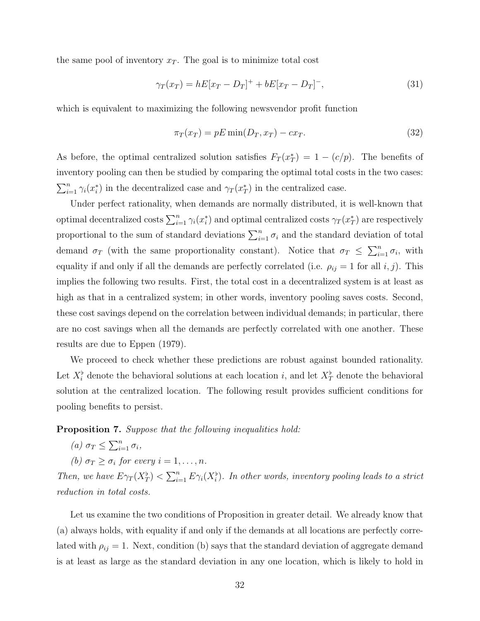the same pool of inventory  $x_T$ . The goal is to minimize total cost

$$
\gamma_T(x_T) = hE[x_T - D_T]^+ + bE[x_T - D_T]^-, \tag{31}
$$

which is equivalent to maximizing the following newsvendor profit function

$$
\pi_T(x_T) = pE \min(D_T, x_T) - cx_T. \tag{32}
$$

As before, the optimal centralized solution satisfies  $F_T(x_T^*) = 1 - (c/p)$ . The benefits of inventory pooling can then be studied by comparing the optimal total costs in the two cases:  $\sum_{n}$  $_{i=1}^{n} \gamma_i(x_i^*)$  in the decentralized case and  $\gamma_T(x_T^*)$  in the centralized case.

Under perfect rationality, when demands are normally distributed, it is well-known that optimal decentralized costs  $\sum_{i=1}^{n} \gamma_i(x_i^*)$  and optimal centralized costs  $\gamma_T(x_T^*)$  are respectively proportional to the sum of standard deviations  $\sum_{i=1}^{n} \sigma_i$  and the standard deviation of total demand  $\sigma_T$  (with the same proportionality constant). Notice that  $\sigma_T \leq \sum_{i=1}^n$  $\sum_{i=1}^n \sigma_i$ , with equality if and only if all the demands are perfectly correlated (i.e.  $\rho_{ij} = 1$  for all i, j). This implies the following two results. First, the total cost in a decentralized system is at least as high as that in a centralized system; in other words, inventory pooling saves costs. Second, these cost savings depend on the correlation between individual demands; in particular, there are no cost savings when all the demands are perfectly correlated with one another. These results are due to Eppen (1979).

We proceed to check whether these predictions are robust against bounded rationality. Let  $X_i^{\flat}$  denote the behavioral solutions at each location i, and let  $X_T^{\flat}$  denote the behavioral solution at the centralized location. The following result provides sufficient conditions for pooling benefits to persist.

Proposition 7. Suppose that the following inequalities hold:

$$
(a) \sigma_T \leq \sum_{i=1}^n \sigma_i,
$$

(b)  $\sigma_T \geq \sigma_i$  for every  $i = 1, \ldots, n$ .

Then, we have  $E\gamma_T(X_T^{\flat}) < \sum_{i=1}^n E\gamma_i(X_i^{\flat})$ . In other words, inventory pooling leads to a strict reduction in total costs.

Let us examine the two conditions of Proposition in greater detail. We already know that (a) always holds, with equality if and only if the demands at all locations are perfectly correlated with  $\rho_{ij} = 1$ . Next, condition (b) says that the standard deviation of aggregate demand is at least as large as the standard deviation in any one location, which is likely to hold in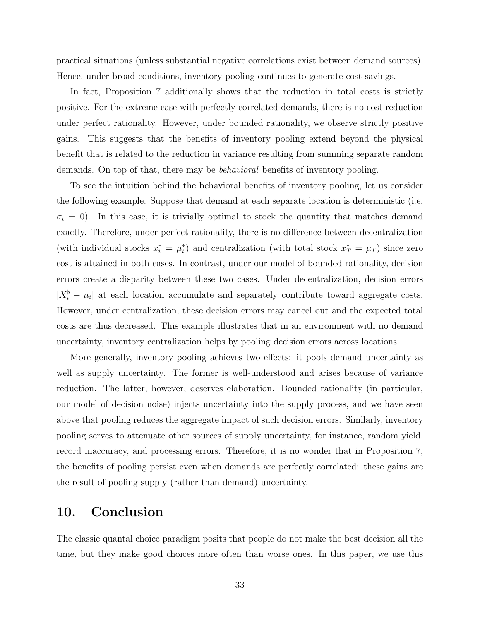practical situations (unless substantial negative correlations exist between demand sources). Hence, under broad conditions, inventory pooling continues to generate cost savings.

In fact, Proposition 7 additionally shows that the reduction in total costs is strictly positive. For the extreme case with perfectly correlated demands, there is no cost reduction under perfect rationality. However, under bounded rationality, we observe strictly positive gains. This suggests that the benefits of inventory pooling extend beyond the physical benefit that is related to the reduction in variance resulting from summing separate random demands. On top of that, there may be behavioral benefits of inventory pooling.

To see the intuition behind the behavioral benefits of inventory pooling, let us consider the following example. Suppose that demand at each separate location is deterministic (i.e.  $\sigma_i = 0$ ). In this case, it is trivially optimal to stock the quantity that matches demand exactly. Therefore, under perfect rationality, there is no difference between decentralization (with individual stocks  $x_i^* = \mu_i^*$ ) and centralization (with total stock  $x_T^* = \mu_T$ ) since zero cost is attained in both cases. In contrast, under our model of bounded rationality, decision errors create a disparity between these two cases. Under decentralization, decision errors  $|X_i^{\flat} - \mu_i|$  at each location accumulate and separately contribute toward aggregate costs. However, under centralization, these decision errors may cancel out and the expected total costs are thus decreased. This example illustrates that in an environment with no demand uncertainty, inventory centralization helps by pooling decision errors across locations.

More generally, inventory pooling achieves two effects: it pools demand uncertainty as well as supply uncertainty. The former is well-understood and arises because of variance reduction. The latter, however, deserves elaboration. Bounded rationality (in particular, our model of decision noise) injects uncertainty into the supply process, and we have seen above that pooling reduces the aggregate impact of such decision errors. Similarly, inventory pooling serves to attenuate other sources of supply uncertainty, for instance, random yield, record inaccuracy, and processing errors. Therefore, it is no wonder that in Proposition 7, the benefits of pooling persist even when demands are perfectly correlated: these gains are the result of pooling supply (rather than demand) uncertainty.

### 10. Conclusion

The classic quantal choice paradigm posits that people do not make the best decision all the time, but they make good choices more often than worse ones. In this paper, we use this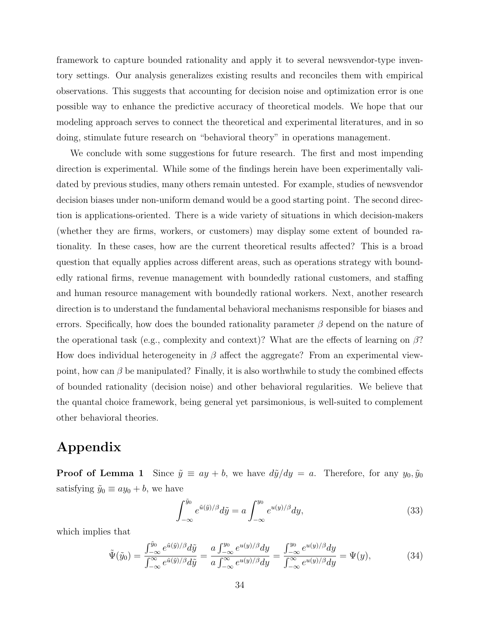framework to capture bounded rationality and apply it to several newsvendor-type inventory settings. Our analysis generalizes existing results and reconciles them with empirical observations. This suggests that accounting for decision noise and optimization error is one possible way to enhance the predictive accuracy of theoretical models. We hope that our modeling approach serves to connect the theoretical and experimental literatures, and in so doing, stimulate future research on "behavioral theory" in operations management.

We conclude with some suggestions for future research. The first and most impending direction is experimental. While some of the findings herein have been experimentally validated by previous studies, many others remain untested. For example, studies of newsvendor decision biases under non-uniform demand would be a good starting point. The second direction is applications-oriented. There is a wide variety of situations in which decision-makers (whether they are firms, workers, or customers) may display some extent of bounded rationality. In these cases, how are the current theoretical results affected? This is a broad question that equally applies across different areas, such as operations strategy with boundedly rational firms, revenue management with boundedly rational customers, and staffing and human resource management with boundedly rational workers. Next, another research direction is to understand the fundamental behavioral mechanisms responsible for biases and errors. Specifically, how does the bounded rationality parameter  $\beta$  depend on the nature of the operational task (e.g., complexity and context)? What are the effects of learning on  $\beta$ ? How does individual heterogeneity in  $\beta$  affect the aggregate? From an experimental viewpoint, how can  $\beta$  be manipulated? Finally, it is also worthwhile to study the combined effects of bounded rationality (decision noise) and other behavioral regularities. We believe that the quantal choice framework, being general yet parsimonious, is well-suited to complement other behavioral theories.

## Appendix

**Proof of Lemma 1** Since  $\tilde{y} \equiv ay + b$ , we have  $d\tilde{y}/dy = a$ . Therefore, for any  $y_0, \tilde{y}_0$ satisfying  $\tilde{y}_0 \equiv ay_0 + b$ , we have

$$
\int_{-\infty}^{\tilde{y}_0} e^{\tilde{u}(\tilde{y})/\beta} d\tilde{y} = a \int_{-\infty}^{y_0} e^{u(y)/\beta} dy,
$$
\n(33)

which implies that

$$
\tilde{\Psi}(\tilde{y}_0) = \frac{\int_{-\infty}^{\tilde{y}_0} e^{\tilde{u}(\tilde{y})/\beta} d\tilde{y}}{\int_{-\infty}^{\infty} e^{\tilde{u}(\tilde{y})/\beta} d\tilde{y}} = \frac{a \int_{-\infty}^{y_0} e^{u(y)/\beta} dy}{a \int_{-\infty}^{\infty} e^{u(y)/\beta} dy} = \frac{\int_{-\infty}^{y_0} e^{u(y)/\beta} dy}{\int_{-\infty}^{\infty} e^{u(y)/\beta} dy} = \Psi(y),
$$
\n(34)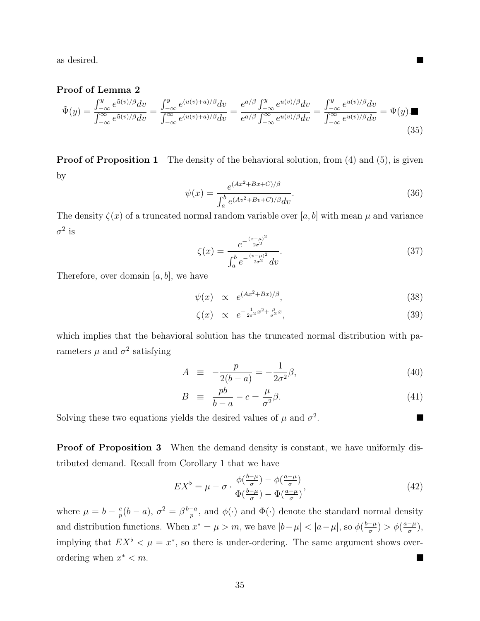as desired.

#### Proof of Lemma 2

$$
\tilde{\Psi}(y) = \frac{\int_{-\infty}^{y} e^{\tilde{u}(v)/\beta} dv}{\int_{-\infty}^{\infty} e^{\tilde{u}(v)/\beta} dv} = \frac{\int_{-\infty}^{y} e^{(u(v)+a)/\beta} dv}{\int_{-\infty}^{\infty} e^{(u(v)+a)/\beta} dv} = \frac{e^{a/\beta} \int_{-\infty}^{y} e^{u(v)/\beta} dv}{e^{a/\beta} \int_{-\infty}^{\infty} e^{u(v)/\beta} dv} = \frac{\int_{-\infty}^{y} e^{u(v)/\beta} dv}{\int_{-\infty}^{\infty} e^{u(v)/\beta} dv} = \Psi(y). \blacksquare
$$
\n(35)

**Proof of Proposition 1** The density of the behavioral solution, from  $(4)$  and  $(5)$ , is given by

$$
\psi(x) = \frac{e^{(Ax^2 + Bx + C)/\beta}}{\int_a^b e^{(Av^2 + Bv + C)/\beta} dv}.
$$
\n(36)

 $\blacksquare$ 

The density  $\zeta(x)$  of a truncated normal random variable over [a, b] with mean  $\mu$  and variance  $\sigma^2$  is

$$
\zeta(x) = \frac{e^{-\frac{(x-\mu)^2}{2\sigma^2}}}{\int_a^b e^{-\frac{(v-\mu)^2}{2\sigma^2}} dv}.
$$
\n(37)

Therefore, over domain  $[a, b]$ , we have

$$
\psi(x) \propto e^{(Ax^2 + Bx)/\beta},\tag{38}
$$

$$
\zeta(x) \propto e^{-\frac{1}{2\sigma^2}x^2 + \frac{\mu}{\sigma^2}x},\tag{39}
$$

which implies that the behavioral solution has the truncated normal distribution with parameters  $\mu$  and  $\sigma^2$  satisfying

$$
A \equiv -\frac{p}{2(b-a)} = -\frac{1}{2\sigma^2} \beta,\tag{40}
$$

$$
B \equiv \frac{pb}{b-a} - c = \frac{\mu}{\sigma^2} \beta. \tag{41}
$$

Solving these two equations yields the desired values of  $\mu$  and  $\sigma^2$ .

**Proof of Proposition 3** When the demand density is constant, we have uniformly distributed demand. Recall from Corollary 1 that we have

$$
EX^{\flat} = \mu - \sigma \cdot \frac{\phi(\frac{b-\mu}{\sigma}) - \phi(\frac{a-\mu}{\sigma})}{\Phi(\frac{b-\mu}{\sigma}) - \Phi(\frac{a-\mu}{\sigma})},\tag{42}
$$

where  $\mu = b - \frac{c}{n}$  $\frac{c}{p}(b-a), \sigma^2 = \beta \frac{b-a}{p}$  $\frac{-a}{p}$ , and  $\phi(\cdot)$  and  $\Phi(\cdot)$  denote the standard normal density and distribution functions. When  $x^* = \mu > m$ , we have  $|b-\mu| < |a-\mu|$ , so  $\phi(\frac{b-\mu}{\sigma})$  $\frac{-\mu}{\sigma}$ ) >  $\phi(\frac{a-\mu}{\sigma})$  $\frac{-\mu}{\sigma}$ ), implying that  $EX^{\flat} < \mu = x^*$ , so there is under-ordering. The same argument shows overordering when  $x^* < m$ . п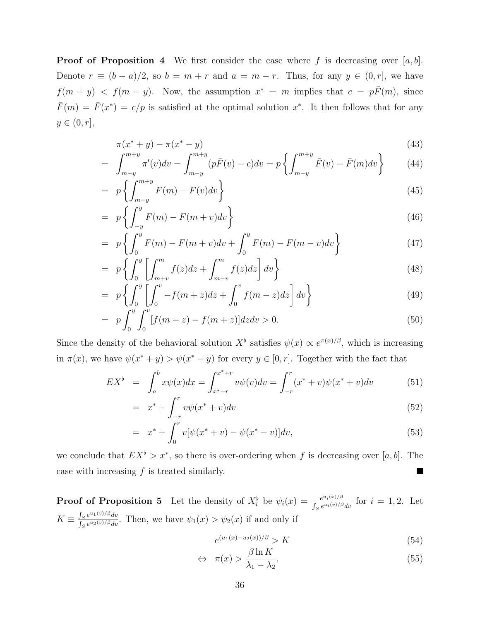**Proof of Proposition 4** We first consider the case where f is decreasing over  $[a, b]$ . Denote  $r \equiv (b-a)/2$ , so  $b = m + r$  and  $a = m - r$ . Thus, for any  $y \in (0, r]$ , we have  $f(m + y) < f(m - y)$ . Now, the assumption  $x^* = m$  implies that  $c = p\bar{F}(m)$ , since  $\bar{F}(m) = \bar{F}(x^*) = c/p$  is satisfied at the optimal solution  $x^*$ . It then follows that for any  $y \in (0, r],$ 

 $\equiv$ 

$$
\pi(x^* + y) - \pi(x^* - y)
$$
\n
$$
r^{m+y}
$$
\n
$$
(43)
$$
\n
$$
(43)
$$

$$
\int_{m-y}^{m+y} \pi'(v)dv = \int_{m-y}^{m+y} (p\bar{F}(v) - c)dv = p\left\{\int_{m-y}^{m+y} \bar{F}(v) - \bar{F}(m)dv\right\}
$$
(44)

$$
= p\left\{\int_{m-y}^{m+y} F(m) - F(v)dv\right\}
$$
\n
$$
(45)
$$

$$
= p\left\{\int_{-y}^{y} F(m) - F(m+v) dv\right\}
$$
\n
$$
\left\{\int_{-y}^{y} F(m) - F(m+v) dv\right\}
$$
\n(46)

$$
= p\left\{\int_0^y F(m) - F(m+v)dv + \int_0^y F(m) - F(m-v)dv\right\}
$$
(47)

$$
= p\left\{\int_{0}^{y} \left[\int_{m+v}^{m} f(z)dz + \int_{m-v}^{m} f(z)dz\right]dv\right\}
$$
\n(48)

$$
= p\left\{\int_0^y \left[\int_0^v -f(m+z)dz + \int_0^v f(m-z)dz\right]dv\right\}
$$
(49)

$$
= p \int_0^y \int_0^v [f(m-z) - f(m+z)] dz dv > 0.
$$
 (50)

Since the density of the behavioral solution  $X^{\flat}$  satisfies  $\psi(x) \propto e^{\pi(x)/\beta}$ , which is increasing in  $\pi(x)$ , we have  $\psi(x^* + y) > \psi(x^* - y)$  for every  $y \in [0, r]$ . Together with the fact that

$$
EX^{\flat} = \int_{a}^{b} x\psi(x)dx = \int_{x^{*}-r}^{x^{*}+r} v\psi(v)dv = \int_{-r}^{r} (x^{*}+v)\psi(x^{*}+v)dv
$$
(51)

$$
= x^* + \int_{-r}^r v\psi(x^* + v)dv
$$
\n
$$
\int_{-r}^r (52)
$$

$$
= x^* + \int_0^r v[\psi(x^* + v) - \psi(x^* - v)]dv,
$$
\n(53)

we conclude that  $EX^{\flat} > x^*$ , so there is over-ordering when f is decreasing over [a, b]. The case with increasing  $f$  is treated similarly. E

**Proof of Proposition 5** Let the density of  $X_i^{\flat}$  be  $\psi_i(x) = \frac{e^{u_i(x)/\beta}}{1 - e^{u_i(v)/\beta}}$  $\frac{e^{u_i(x)/\beta}}{s e^{u_i(v)/\beta}dv}$  for  $i=1,2$ . Let  $K \equiv$ R  $\int_{S} e^{u_1(v)/\beta} dv$  $\frac{S^{e^{-1}}(x)}{S^{e^{u_2(v)/\beta}dv}}$ . Then, we have  $\psi_1(x) > \psi_2(x)$  if and only if

$$
e^{(u_1(x) - u_2(x))/\beta} > K \tag{54}
$$

$$
\Leftrightarrow \quad \pi(x) > \frac{\beta \ln K}{\lambda_1 - \lambda_2}.\tag{55}
$$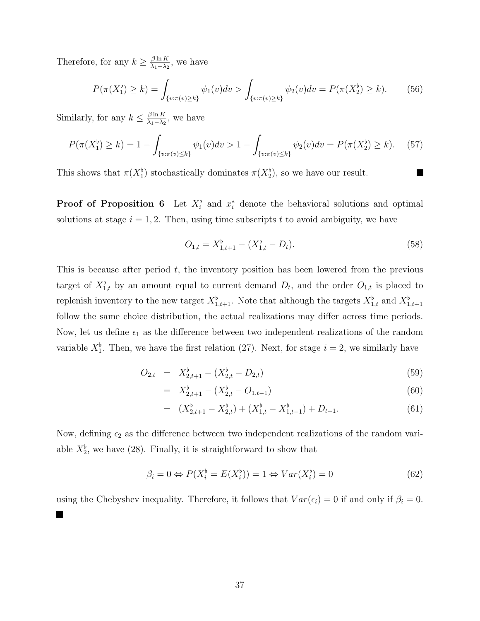Therefore, for any  $k \geq \frac{\beta \ln K}{\lambda}$  $\frac{\beta \ln K}{\lambda_1 - \lambda_2}$ , we have

$$
P(\pi(X_1^{\flat}) \ge k) = \int_{\{v : \pi(v) \ge k\}} \psi_1(v) dv > \int_{\{v : \pi(v) \ge k\}} \psi_2(v) dv = P(\pi(X_2^{\flat}) \ge k). \tag{56}
$$

Similarly, for any  $k \leq \frac{\beta \ln K}{\lambda - \lambda}$  $\frac{\beta \ln K}{\lambda_1 - \lambda_2}$ , we have

$$
P(\pi(X_1^{\flat}) \ge k) = 1 - \int_{\{v : \pi(v) \le k\}} \psi_1(v) dv > 1 - \int_{\{v : \pi(v) \le k\}} \psi_2(v) dv = P(\pi(X_2^{\flat}) \ge k). \tag{57}
$$

This shows that  $\pi(X_1^{\flat})$  stochastically dominates  $\pi(X_2^{\flat})$ , so we have our result.

**Proof of Proposition 6** Let  $X_i^{\flat}$  and  $x_i^*$  denote the behavioral solutions and optimal solutions at stage  $i = 1, 2$ . Then, using time subscripts t to avoid ambiguity, we have

$$
O_{1,t} = X_{1,t+1}^{\flat} - (X_{1,t}^{\flat} - D_t). \tag{58}
$$

This is because after period  $t$ , the inventory position has been lowered from the previous target of  $X_{1,t}^{\flat}$  by an amount equal to current demand  $D_t$ , and the order  $O_{1,t}$  is placed to replenish inventory to the new target  $X_{1,t+1}^{\flat}$ . Note that although the targets  $X_{1,t}^{\flat}$  and  $X_{1,t+1}^{\flat}$ follow the same choice distribution, the actual realizations may differ across time periods. Now, let us define  $\epsilon_1$  as the difference between two independent realizations of the random variable  $X_1^{\flat}$ . Then, we have the first relation (27). Next, for stage  $i = 2$ , we similarly have

$$
O_{2,t} = X_{2,t+1}^{\flat} - (X_{2,t}^{\flat} - D_{2,t})
$$
\n(59)

$$
= X_{2,t+1}^{\flat} - (X_{2,t}^{\flat} - O_{1,t-1}) \tag{60}
$$

$$
= (X_{2,t+1}^{\flat} - X_{2,t}^{\flat}) + (X_{1,t}^{\flat} - X_{1,t-1}^{\flat}) + D_{t-1}.
$$
\n(61)

Now, defining  $\epsilon_2$  as the difference between two independent realizations of the random variable  $X_2^{\flat}$ , we have (28). Finally, it is straightforward to show that

$$
\beta_i = 0 \Leftrightarrow P(X_i^{\flat} = E(X_i^{\flat})) = 1 \Leftrightarrow Var(X_i^{\flat}) = 0 \tag{62}
$$

using the Chebyshev inequality. Therefore, it follows that  $Var(\epsilon_i) = 0$  if and only if  $\beta_i = 0$ .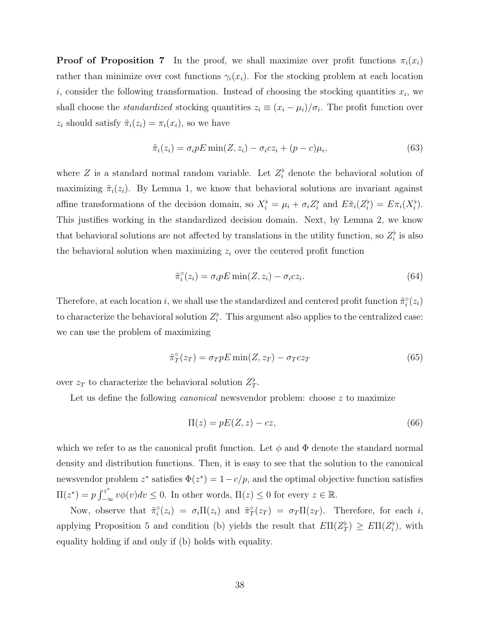**Proof of Proposition 7** In the proof, we shall maximize over profit functions  $\pi_i(x_i)$ rather than minimize over cost functions  $\gamma_i(x_i)$ . For the stocking problem at each location i, consider the following transformation. Instead of choosing the stocking quantities  $x_i$ , we shall choose the *standardized* stocking quantities  $z_i \equiv (x_i - \mu_i)/\sigma_i$ . The profit function over  $z_i$  should satisfy  $\tilde{\pi}_i(z_i) = \pi_i(x_i)$ , so we have

$$
\tilde{\pi}_i(z_i) = \sigma_i p E \min(Z, z_i) - \sigma_i c z_i + (p - c) \mu_i,\tag{63}
$$

where Z is a standard normal random variable. Let  $Z_i^{\flat}$  denote the behavioral solution of maximizing  $\tilde{\pi}_i(z_i)$ . By Lemma 1, we know that behavioral solutions are invariant against affine transformations of the decision domain, so  $X_i^{\flat} = \mu_i + \sigma_i Z_i^{\flat}$  and  $E \tilde{\pi}_i(Z_i^{\flat}) = E \pi_i(X_i^{\flat})$ . This justifies working in the standardized decision domain. Next, by Lemma 2, we know that behavioral solutions are not affected by translations in the utility function, so  $Z_i^{\flat}$  is also the behavioral solution when maximizing  $z_i$  over the centered profit function

$$
\tilde{\pi}_i^{\circ}(z_i) = \sigma_i p E \min(Z, z_i) - \sigma_i c z_i. \tag{64}
$$

Therefore, at each location i, we shall use the standardized and centered profit function  $\tilde{\pi}_i^{\circ}(z_i)$ to characterize the behavioral solution  $Z_i^{\flat}$ . This argument also applies to the centralized case: we can use the problem of maximizing

$$
\tilde{\pi}_T^{\circ}(z_T) = \sigma_T p E \min(Z, z_T) - \sigma_T c z_T \tag{65}
$$

over  $z_T$  to characterize the behavioral solution  $Z_T^{\flat}$ .

Let us define the following *canonical* newsvendor problem: choose  $z$  to maximize

$$
\Pi(z) = pE(Z, z) - cz,\tag{66}
$$

which we refer to as the canonical profit function. Let  $\phi$  and  $\Phi$  denote the standard normal density and distribution functions. Then, it is easy to see that the solution to the canonical newsvendor problem  $z^*$  satisfies  $\Phi(z^*) = 1 - c/p$ , and the optimal objective function satisfies  $\Pi(z^*) = p \int_{-\infty}^{z^*} v \phi(v) dv \leq 0$ . In other words,  $\Pi(z) \leq 0$  for every  $z \in \mathbb{R}$ .

Now, observe that  $\tilde{\pi}_{i}^{\circ}(z_{i}) = \sigma_{i} \Pi(z_{i})$  and  $\tilde{\pi}_{T}^{\circ}(z_{T}) = \sigma_{T} \Pi(z_{T})$ . Therefore, for each i, applying Proposition 5 and condition (b) yields the result that  $E\Pi(Z_T^{\flat}) \geq E\Pi(Z_i^{\flat})$ , with equality holding if and only if (b) holds with equality.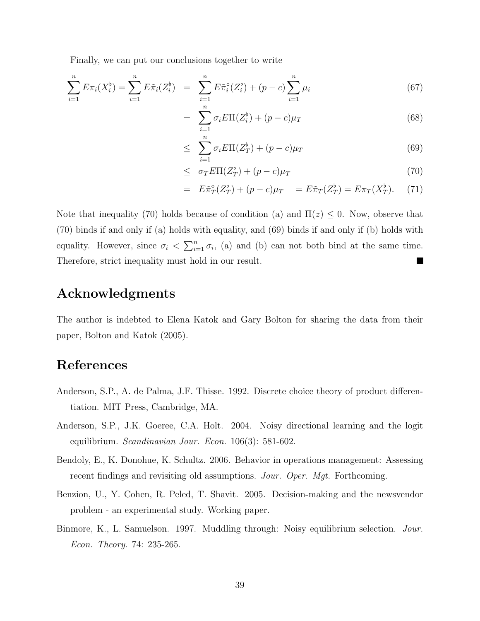Finally, we can put our conclusions together to write

$$
\sum_{i=1}^{n} E \pi_i(X_i^{\flat}) = \sum_{i=1}^{n} E \tilde{\pi}_i(Z_i^{\flat}) = \sum_{i=1}^{n} E \tilde{\pi}_i^{\circ}(Z_i^{\flat}) + (p - c) \sum_{i=1}^{n} \mu_i
$$
 (67)

$$
= \sum_{i=1}^{n} \sigma_i E \Pi(Z_i^{\flat}) + (p - c)\mu_T \tag{68}
$$

$$
\leq \sum_{i=1}^{n} \sigma_i E \Pi(Z_T^{\flat}) + (p - c)\mu_T \tag{69}
$$

$$
\leq \sigma_T E\Pi(Z_T^{\flat}) + (p-c)\mu_T \tag{70}
$$

$$
= E\tilde{\pi}_T^{\circ}(Z_T^{\flat}) + (p - c)\mu_T = E\tilde{\pi}_T(Z_T^{\flat}) = E\pi_T(X_T^{\flat}). \tag{71}
$$

Note that inequality (70) holds because of condition (a) and  $\Pi(z) \leq 0$ . Now, observe that (70) binds if and only if (a) holds with equality, and (69) binds if and only if (b) holds with equality. However, since  $\sigma_i < \sum_{i=1}^n$  $_{i=1}^{n}$   $\sigma_i$ , (a) and (b) can not both bind at the same time. Therefore, strict inequality must hold in our result.

## Acknowledgments

The author is indebted to Elena Katok and Gary Bolton for sharing the data from their paper, Bolton and Katok (2005).

## References

- Anderson, S.P., A. de Palma, J.F. Thisse. 1992. Discrete choice theory of product differentiation. MIT Press, Cambridge, MA.
- Anderson, S.P., J.K. Goeree, C.A. Holt. 2004. Noisy directional learning and the logit equilibrium. Scandinavian Jour. Econ. 106(3): 581-602.
- Bendoly, E., K. Donohue, K. Schultz. 2006. Behavior in operations management: Assessing recent findings and revisiting old assumptions. Jour. Oper. Mgt. Forthcoming.
- Benzion, U., Y. Cohen, R. Peled, T. Shavit. 2005. Decision-making and the newsvendor problem - an experimental study. Working paper.
- Binmore, K., L. Samuelson. 1997. Muddling through: Noisy equilibrium selection. Jour. Econ. Theory. 74: 235-265.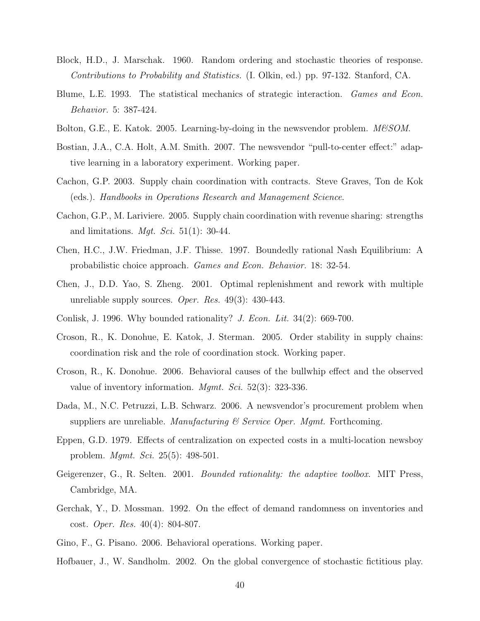- Block, H.D., J. Marschak. 1960. Random ordering and stochastic theories of response. Contributions to Probability and Statistics. (I. Olkin, ed.) pp. 97-132. Stanford, CA.
- Blume, L.E. 1993. The statistical mechanics of strategic interaction. Games and Econ. Behavior. 5: 387-424.
- Bolton, G.E., E. Katok. 2005. Learning-by-doing in the newsvendor problem.  $M\&SOM$ .
- Bostian, J.A., C.A. Holt, A.M. Smith. 2007. The newsvendor "pull-to-center effect:" adaptive learning in a laboratory experiment. Working paper.
- Cachon, G.P. 2003. Supply chain coordination with contracts. Steve Graves, Ton de Kok (eds.). Handbooks in Operations Research and Management Science.
- Cachon, G.P., M. Lariviere. 2005. Supply chain coordination with revenue sharing: strengths and limitations. *Mqt. Sci.* 51(1): 30-44.
- Chen, H.C., J.W. Friedman, J.F. Thisse. 1997. Boundedly rational Nash Equilibrium: A probabilistic choice approach. Games and Econ. Behavior. 18: 32-54.
- Chen, J., D.D. Yao, S. Zheng. 2001. Optimal replenishment and rework with multiple unreliable supply sources. Oper. Res. 49(3): 430-443.
- Conlisk, J. 1996. Why bounded rationality? J. Econ. Lit. 34(2): 669-700.
- Croson, R., K. Donohue, E. Katok, J. Sterman. 2005. Order stability in supply chains: coordination risk and the role of coordination stock. Working paper.
- Croson, R., K. Donohue. 2006. Behavioral causes of the bullwhip effect and the observed value of inventory information. *Mgmt. Sci.* 52(3): 323-336.
- Dada, M., N.C. Petruzzi, L.B. Schwarz. 2006. A newsvendor's procurement problem when suppliers are unreliable. Manufacturing  $\mathcal C$  Service Oper. Mgmt. Forthcoming.
- Eppen, G.D. 1979. Effects of centralization on expected costs in a multi-location newsboy problem. Mgmt. Sci. 25(5): 498-501.
- Geigerenzer, G., R. Selten. 2001. *Bounded rationality: the adaptive toolbox*. MIT Press, Cambridge, MA.
- Gerchak, Y., D. Mossman. 1992. On the effect of demand randomness on inventories and cost. Oper. Res. 40(4): 804-807.
- Gino, F., G. Pisano. 2006. Behavioral operations. Working paper.
- Hofbauer, J., W. Sandholm. 2002. On the global convergence of stochastic fictitious play.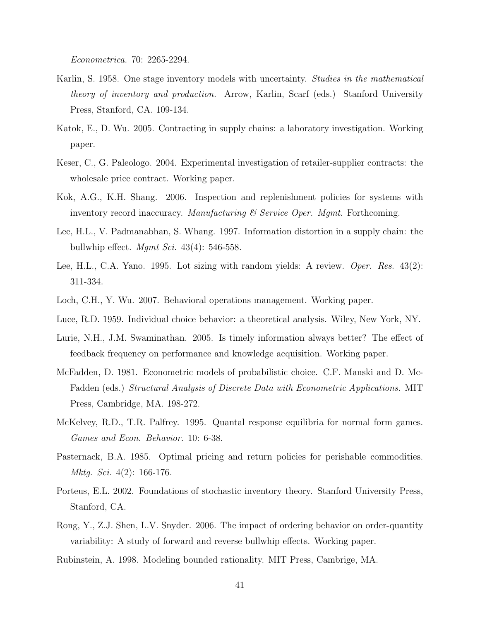Econometrica. 70: 2265-2294.

- Karlin, S. 1958. One stage inventory models with uncertainty. Studies in the mathematical theory of inventory and production. Arrow, Karlin, Scarf (eds.) Stanford University Press, Stanford, CA. 109-134.
- Katok, E., D. Wu. 2005. Contracting in supply chains: a laboratory investigation. Working paper.
- Keser, C., G. Paleologo. 2004. Experimental investigation of retailer-supplier contracts: the wholesale price contract. Working paper.
- Kok, A.G., K.H. Shang. 2006. Inspection and replenishment policies for systems with inventory record inaccuracy. Manufacturing  $\mathcal C$  Service Oper. Mgmt. Forthcoming.
- Lee, H.L., V. Padmanabhan, S. Whang. 1997. Information distortion in a supply chain: the bullwhip effect.  $Mgmt\, Sci.$  43(4): 546-558.
- Lee, H.L., C.A. Yano. 1995. Lot sizing with random yields: A review. *Oper. Res.* 43(2): 311-334.
- Loch, C.H., Y. Wu. 2007. Behavioral operations management. Working paper.
- Luce, R.D. 1959. Individual choice behavior: a theoretical analysis. Wiley, New York, NY.
- Lurie, N.H., J.M. Swaminathan. 2005. Is timely information always better? The effect of feedback frequency on performance and knowledge acquisition. Working paper.
- McFadden, D. 1981. Econometric models of probabilistic choice. C.F. Manski and D. Mc-Fadden (eds.) Structural Analysis of Discrete Data with Econometric Applications. MIT Press, Cambridge, MA. 198-272.
- McKelvey, R.D., T.R. Palfrey. 1995. Quantal response equilibria for normal form games. Games and Econ. Behavior. 10: 6-38.
- Pasternack, B.A. 1985. Optimal pricing and return policies for perishable commodities. Mktg. Sci. 4(2): 166-176.
- Porteus, E.L. 2002. Foundations of stochastic inventory theory. Stanford University Press, Stanford, CA.
- Rong, Y., Z.J. Shen, L.V. Snyder. 2006. The impact of ordering behavior on order-quantity variability: A study of forward and reverse bullwhip effects. Working paper.
- Rubinstein, A. 1998. Modeling bounded rationality. MIT Press, Cambrige, MA.